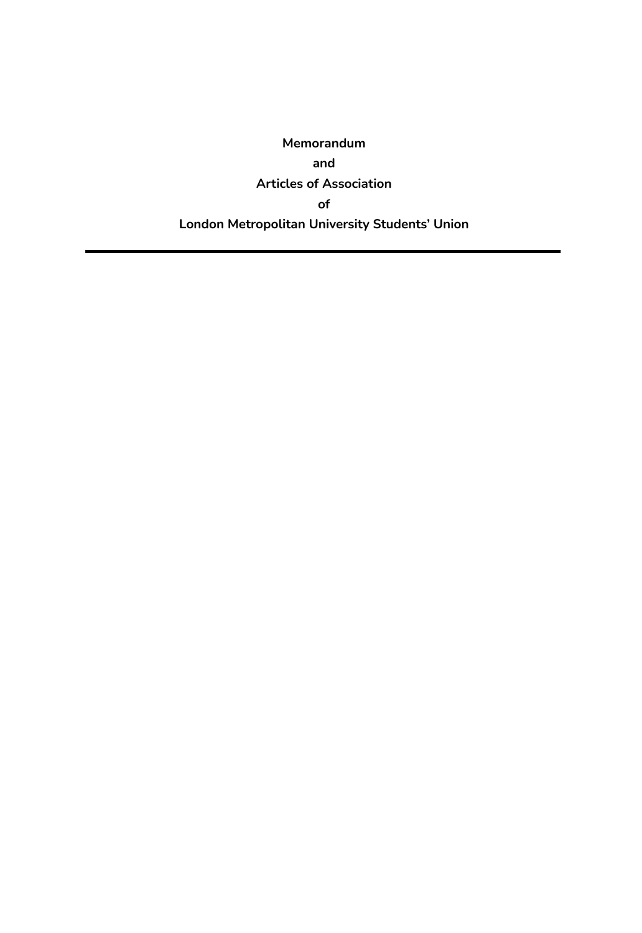**Memorandum and Articles of Association of London Metropolitan University Students' Union**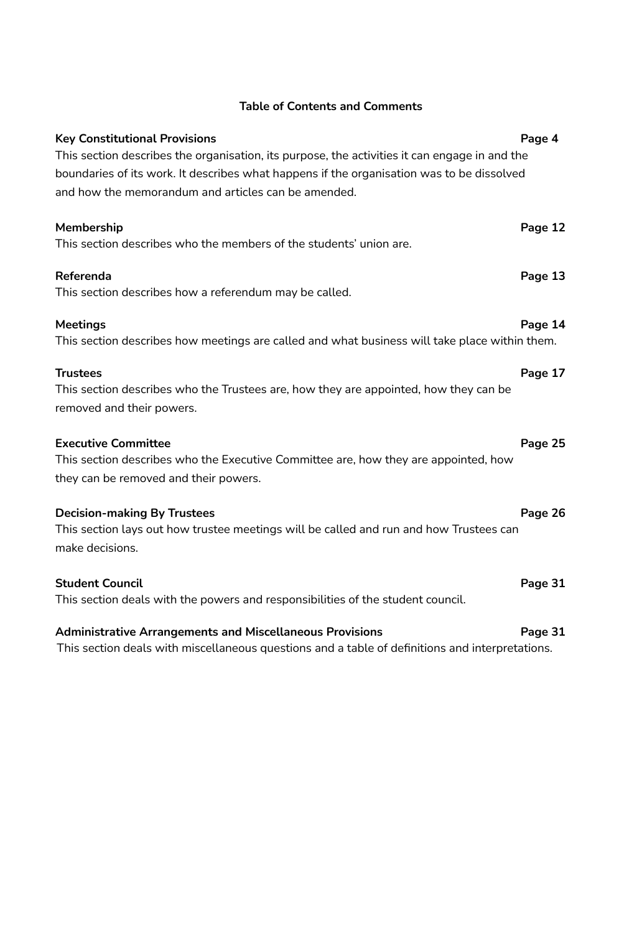| <b>Key Constitutional Provisions</b><br>This section describes the organisation, its purpose, the activities it can engage in and the<br>boundaries of its work. It describes what happens if the organisation was to be dissolved<br>and how the memorandum and articles can be amended. | Page 4  |
|-------------------------------------------------------------------------------------------------------------------------------------------------------------------------------------------------------------------------------------------------------------------------------------------|---------|
| Membership<br>This section describes who the members of the students' union are.                                                                                                                                                                                                          | Page 12 |
| Referenda<br>This section describes how a referendum may be called.                                                                                                                                                                                                                       | Page 13 |
| <b>Meetings</b><br>This section describes how meetings are called and what business will take place within them.                                                                                                                                                                          | Page 14 |
| <b>Trustees</b><br>This section describes who the Trustees are, how they are appointed, how they can be<br>removed and their powers.                                                                                                                                                      | Page 17 |
| <b>Executive Committee</b><br>This section describes who the Executive Committee are, how they are appointed, how<br>they can be removed and their powers.                                                                                                                                | Page 25 |
| <b>Decision-making By Trustees</b><br>This section lays out how trustee meetings will be called and run and how Trustees can<br>make decisions.                                                                                                                                           | Page 26 |
| <b>Student Council</b><br>This section deals with the powers and responsibilities of the student council.                                                                                                                                                                                 | Page 31 |
| <b>Administrative Arrangements and Miscellaneous Provisions</b>                                                                                                                                                                                                                           | Page 31 |

## **Table of Contents and Comments**

This section deals with miscellaneous questions and a table of definitions and interpretations.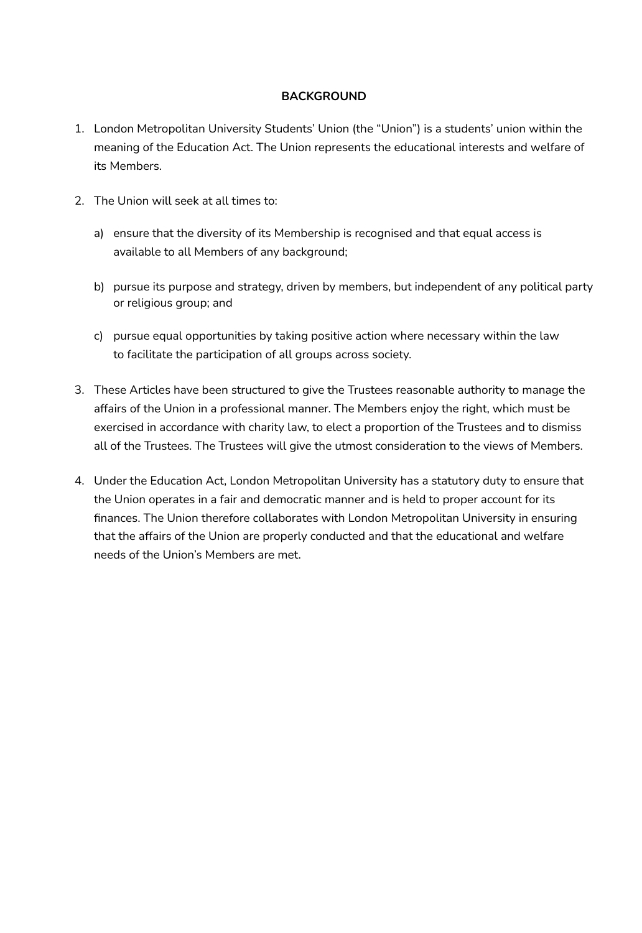## **BACKGROUND**

- 1. London Metropolitan University Students' Union (the "Union") is a students' union within the meaning of the Education Act. The Union represents the educational interests and welfare of its Members.
- 2. The Union will seek at all times to:
	- a) ensure that the diversity of its Membership is recognised and that equal access is available to all Members of any background;
	- b) pursue its purpose and strategy, driven by members, but independent of any political party or religious group; and
	- c) pursue equal opportunities by taking positive action where necessary within the law to facilitate the participation of all groups across society.
- 3. These Articles have been structured to give the Trustees reasonable authority to manage the affairs of the Union in a professional manner. The Members enjoy the right, which must be exercised in accordance with charity law, to elect a proportion of the Trustees and to dismiss all of the Trustees. The Trustees will give the utmost consideration to the views of Members.
- 4. Under the Education Act, London Metropolitan University has a statutory duty to ensure that the Union operates in a fair and democratic manner and is held to proper account for its finances. The Union therefore collaborates with London Metropolitan University in ensuring that the affairs of the Union are properly conducted and that the educational and welfare needs of the Union's Members are met.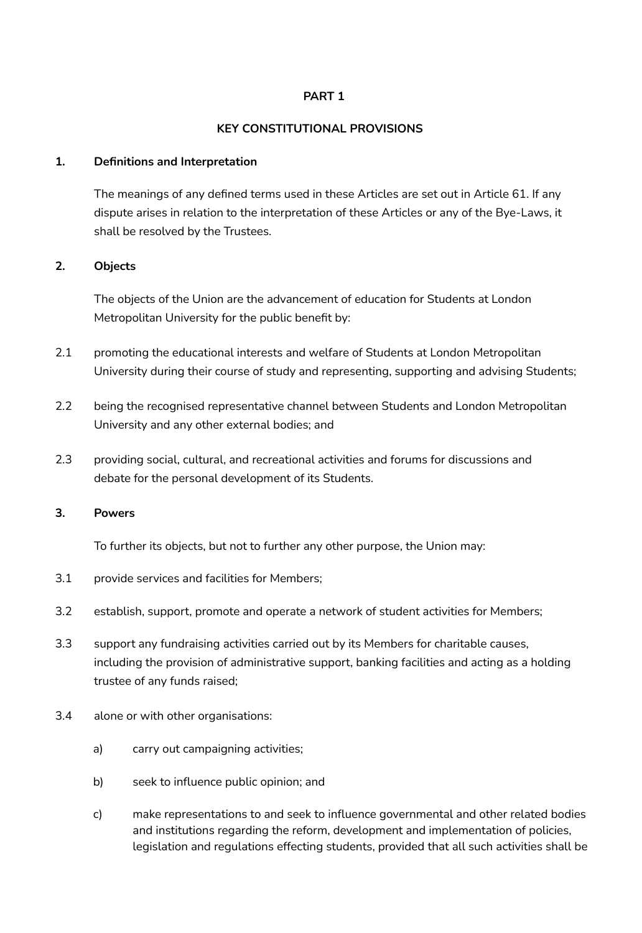### **PART 1**

### **KEY CONSTITUTIONAL PROVISIONS**

#### **1. Definitions and Interpretation**

The meanings of any defined terms used in these Articles are set out in Article 61. If any dispute arises in relation to the interpretation of these Articles or any of the Bye-Laws, it shall be resolved by the Trustees.

### **2. Objects**

The objects of the Union are the advancement of education for Students at London Metropolitan University for the public benefit by:

- 2.1 promoting the educational interests and welfare of Students at London Metropolitan University during their course of study and representing, supporting and advising Students;
- 2.2 being the recognised representative channel between Students and London Metropolitan University and any other external bodies; and
- 2.3 providing social, cultural, and recreational activities and forums for discussions and debate for the personal development of its Students.

#### **3. Powers**

To further its objects, but not to further any other purpose, the Union may:

- 3.1 provide services and facilities for Members;
- 3.2 establish, support, promote and operate a network of student activities for Members;
- 3.3 support any fundraising activities carried out by its Members for charitable causes, including the provision of administrative support, banking facilities and acting as a holding trustee of any funds raised;
- 3.4 alone or with other organisations:
	- a) carry out campaigning activities;
	- b) seek to influence public opinion; and
	- c) make representations to and seek to influence governmental and other related bodies and institutions regarding the reform, development and implementation of policies, legislation and regulations effecting students, provided that all such activities shall be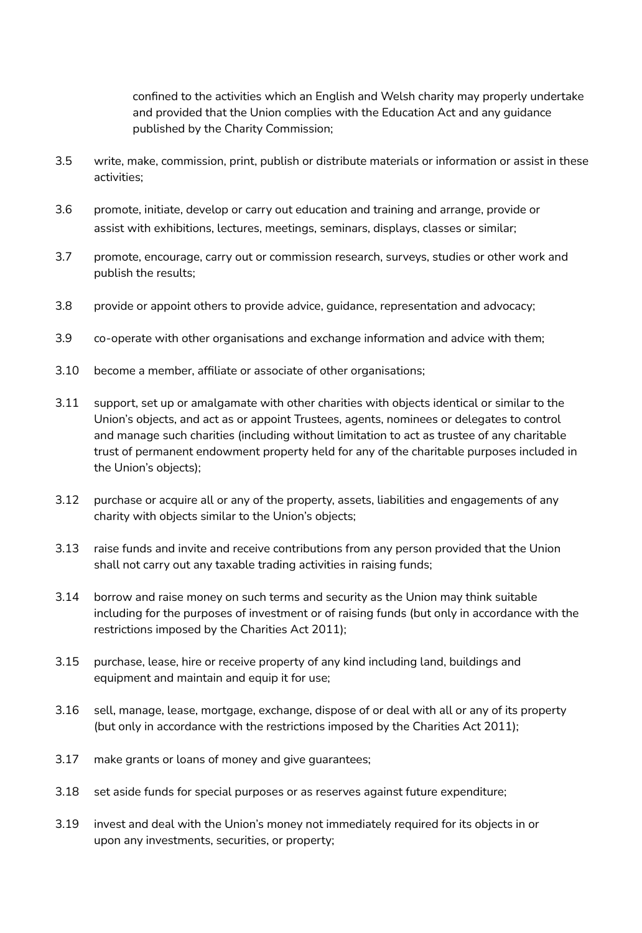confined to the activities which an English and Welsh charity may properly undertake and provided that the Union complies with the Education Act and any guidance published by the Charity Commission;

- 3.5 write, make, commission, print, publish or distribute materials or information or assist in these activities;
- 3.6 promote, initiate, develop or carry out education and training and arrange, provide or assist with exhibitions, lectures, meetings, seminars, displays, classes or similar;
- 3.7 promote, encourage, carry out or commission research, surveys, studies or other work and publish the results;
- 3.8 provide or appoint others to provide advice, guidance, representation and advocacy;
- 3.9 co-operate with other organisations and exchange information and advice with them;
- 3.10 become a member, affiliate or associate of other organisations;
- 3.11 support, set up or amalgamate with other charities with objects identical or similar to the Union's objects, and act as or appoint Trustees, agents, nominees or delegates to control and manage such charities (including without limitation to act as trustee of any charitable trust of permanent endowment property held for any of the charitable purposes included in the Union's objects);
- 3.12 purchase or acquire all or any of the property, assets, liabilities and engagements of any charity with objects similar to the Union's objects;
- 3.13 raise funds and invite and receive contributions from any person provided that the Union shall not carry out any taxable trading activities in raising funds;
- 3.14 borrow and raise money on such terms and security as the Union may think suitable including for the purposes of investment or of raising funds (but only in accordance with the restrictions imposed by the Charities Act 2011);
- 3.15 purchase, lease, hire or receive property of any kind including land, buildings and equipment and maintain and equip it for use;
- 3.16 sell, manage, lease, mortgage, exchange, dispose of or deal with all or any of its property (but only in accordance with the restrictions imposed by the Charities Act 2011);
- 3.17 make grants or loans of money and give guarantees;
- 3.18 set aside funds for special purposes or as reserves against future expenditure;
- 3.19 invest and deal with the Union's money not immediately required for its objects in or upon any investments, securities, or property;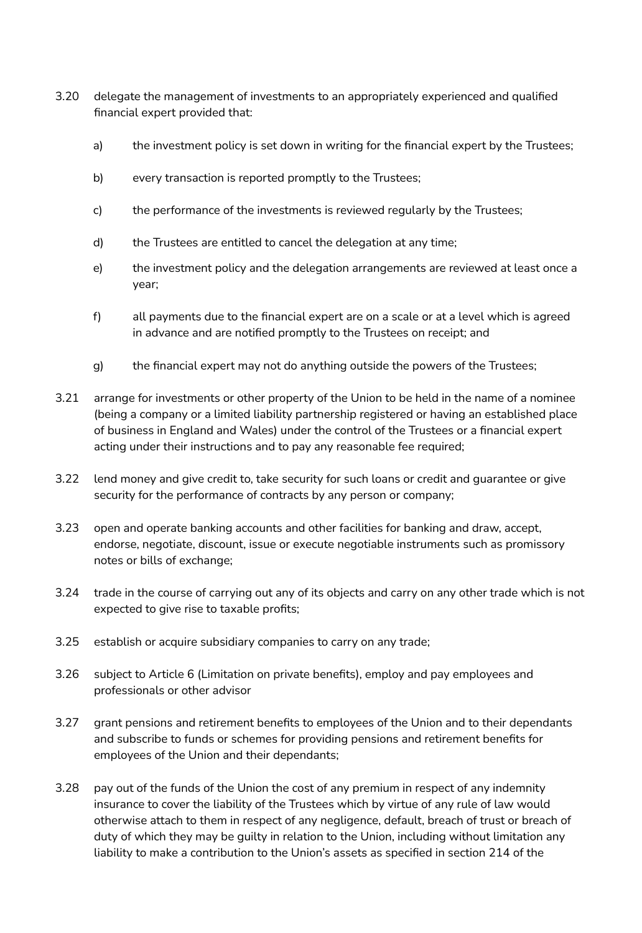- 3.20 delegate the management of investments to an appropriately experienced and qualified financial expert provided that:
	- a) the investment policy is set down in writing for the financial expert by the Trustees;
	- b) every transaction is reported promptly to the Trustees;
	- c) the performance of the investments is reviewed regularly by the Trustees;
	- d) the Trustees are entitled to cancel the delegation at any time;
	- e) the investment policy and the delegation arrangements are reviewed at least once a year;
	- f) all payments due to the financial expert are on a scale or at a level which is agreed in advance and are notified promptly to the Trustees on receipt; and
	- g) the financial expert may not do anything outside the powers of the Trustees;
- 3.21 arrange for investments or other property of the Union to be held in the name of a nominee (being a company or a limited liability partnership registered or having an established place of business in England and Wales) under the control of the Trustees or a financial expert acting under their instructions and to pay any reasonable fee required;
- 3.22 lend money and give credit to, take security for such loans or credit and guarantee or give security for the performance of contracts by any person or company;
- 3.23 open and operate banking accounts and other facilities for banking and draw, accept, endorse, negotiate, discount, issue or execute negotiable instruments such as promissory notes or bills of exchange;
- 3.24 trade in the course of carrying out any of its objects and carry on any other trade which is not expected to give rise to taxable profits;
- 3.25 establish or acquire subsidiary companies to carry on any trade;
- 3.26 subject to Article 6 (Limitation on private benefits), employ and pay employees and professionals or other advisor
- 3.27 grant pensions and retirement benefits to employees of the Union and to their dependants and subscribe to funds or schemes for providing pensions and retirement benefits for employees of the Union and their dependants;
- 3.28 pay out of the funds of the Union the cost of any premium in respect of any indemnity insurance to cover the liability of the Trustees which by virtue of any rule of law would otherwise attach to them in respect of any negligence, default, breach of trust or breach of duty of which they may be guilty in relation to the Union, including without limitation any liability to make a contribution to the Union's assets as specified in section 214 of the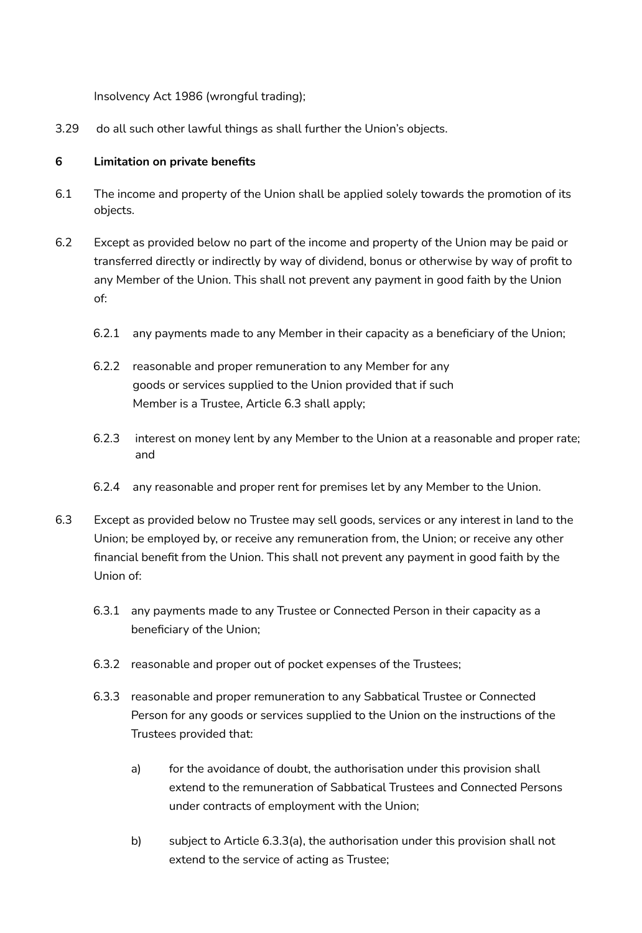Insolvency Act 1986 (wrongful trading);

3.29 do all such other lawful things as shall further the Union's objects.

## **6 Limitation on private benefits**

- 6.1 The income and property of the Union shall be applied solely towards the promotion of its objects.
- 6.2 Except as provided below no part of the income and property of the Union may be paid or transferred directly or indirectly by way of dividend, bonus or otherwise by way of profit to any Member of the Union. This shall not prevent any payment in good faith by the Union of:
	- 6.2.1 any payments made to any Member in their capacity as a beneficiary of the Union;
	- 6.2.2 reasonable and proper remuneration to any Member for any goods or services supplied to the Union provided that if such Member is a Trustee, Article 6.3 shall apply;
	- 6.2.3 interest on money lent by any Member to the Union at a reasonable and proper rate; and
	- 6.2.4 any reasonable and proper rent for premises let by any Member to the Union.
- 6.3 Except as provided below no Trustee may sell goods, services or any interest in land to the Union; be employed by, or receive any remuneration from, the Union; or receive any other financial benefit from the Union. This shall not prevent any payment in good faith by the Union of:
	- 6.3.1 any payments made to any Trustee or Connected Person in their capacity as a beneficiary of the Union;
	- 6.3.2 reasonable and proper out of pocket expenses of the Trustees;
	- 6.3.3 reasonable and proper remuneration to any Sabbatical Trustee or Connected Person for any goods or services supplied to the Union on the instructions of the Trustees provided that:
		- a) for the avoidance of doubt, the authorisation under this provision shall extend to the remuneration of Sabbatical Trustees and Connected Persons under contracts of employment with the Union;
		- b) subject to Article 6.3.3(a), the authorisation under this provision shall not extend to the service of acting as Trustee;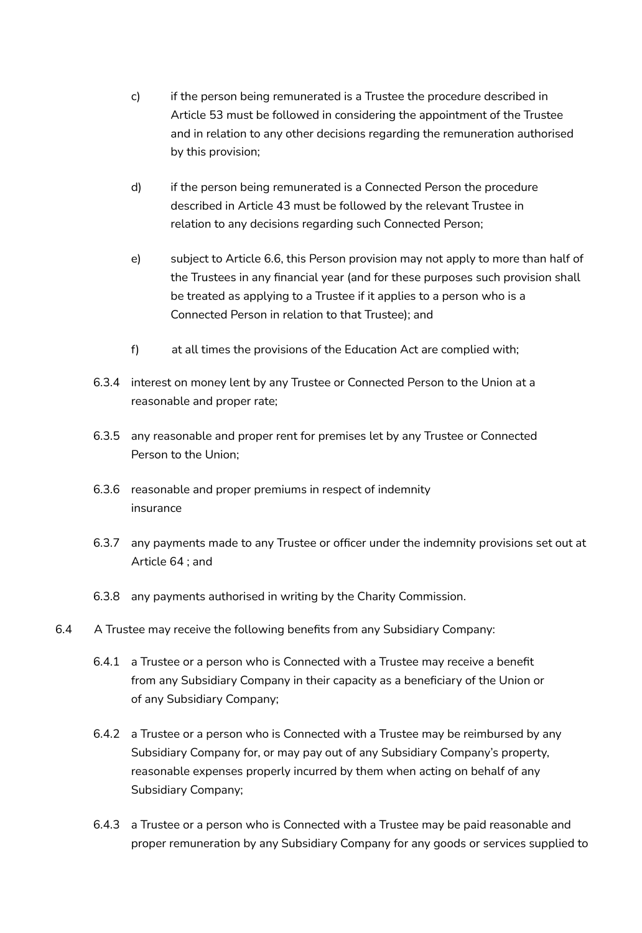- c) if the person being remunerated is a Trustee the procedure described in Article 53 must be followed in considering the appointment of the Trustee and in relation to any other decisions regarding the remuneration authorised by this provision;
- d) if the person being remunerated is a Connected Person the procedure described in Article 43 must be followed by the relevant Trustee in relation to any decisions regarding such Connected Person;
- e) subject to Article 6.6, this Person provision may not apply to more than half of the Trustees in any financial year (and for these purposes such provision shall be treated as applying to a Trustee if it applies to a person who is a Connected Person in relation to that Trustee); and
- f) at all times the provisions of the Education Act are complied with;
- 6.3.4 interest on money lent by any Trustee or Connected Person to the Union at a reasonable and proper rate;
- 6.3.5 any reasonable and proper rent for premises let by any Trustee or Connected Person to the Union;
- 6.3.6 reasonable and proper premiums in respect of indemnity insurance
- 6.3.7 any payments made to any Trustee or officer under the indemnity provisions set out at Article 64 ; and
- 6.3.8 any payments authorised in writing by the Charity Commission.
- 6.4 A Trustee may receive the following benefits from any Subsidiary Company:
	- 6.4.1 a Trustee or a person who is Connected with a Trustee may receive a benefit from any Subsidiary Company in their capacity as a beneficiary of the Union or of any Subsidiary Company;
	- 6.4.2 a Trustee or a person who is Connected with a Trustee may be reimbursed by any Subsidiary Company for, or may pay out of any Subsidiary Company's property, reasonable expenses properly incurred by them when acting on behalf of any Subsidiary Company;
	- 6.4.3 a Trustee or a person who is Connected with a Trustee may be paid reasonable and proper remuneration by any Subsidiary Company for any goods or services supplied to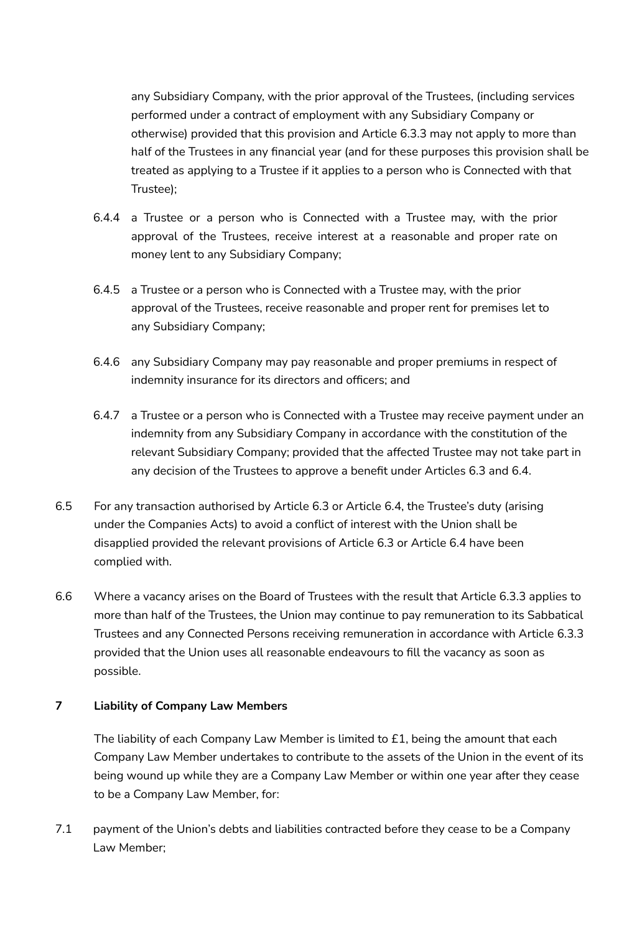any Subsidiary Company, with the prior approval of the Trustees, (including services performed under a contract of employment with any Subsidiary Company or otherwise) provided that this provision and Article 6.3.3 may not apply to more than half of the Trustees in any financial year (and for these purposes this provision shall be treated as applying to a Trustee if it applies to a person who is Connected with that Trustee);

- 6.4.4 a Trustee or a person who is Connected with a Trustee may, with the prior approval of the Trustees, receive interest at a reasonable and proper rate on money lent to any Subsidiary Company;
- 6.4.5 a Trustee or a person who is Connected with a Trustee may, with the prior approval of the Trustees, receive reasonable and proper rent for premises let to any Subsidiary Company;
- 6.4.6 any Subsidiary Company may pay reasonable and proper premiums in respect of indemnity insurance for its directors and officers; and
- 6.4.7 a Trustee or a person who is Connected with a Trustee may receive payment under an indemnity from any Subsidiary Company in accordance with the constitution of the relevant Subsidiary Company; provided that the affected Trustee may not take part in any decision of the Trustees to approve a benefit under Articles 6.3 and 6.4.
- 6.5 For any transaction authorised by Article 6.3 or Article 6.4, the Trustee's duty (arising under the Companies Acts) to avoid a conflict of interest with the Union shall be disapplied provided the relevant provisions of Article 6.3 or Article 6.4 have been complied with.
- 6.6 Where a vacancy arises on the Board of Trustees with the result that Article 6.3.3 applies to more than half of the Trustees, the Union may continue to pay remuneration to its Sabbatical Trustees and any Connected Persons receiving remuneration in accordance with Article 6.3.3 provided that the Union uses all reasonable endeavours to fill the vacancy as soon as possible.

## **7 Liability of Company Law Members**

The liability of each Company Law Member is limited to £1, being the amount that each Company Law Member undertakes to contribute to the assets of the Union in the event of its being wound up while they are a Company Law Member or within one year after they cease to be a Company Law Member, for:

7.1 payment of the Union's debts and liabilities contracted before they cease to be a Company Law Member;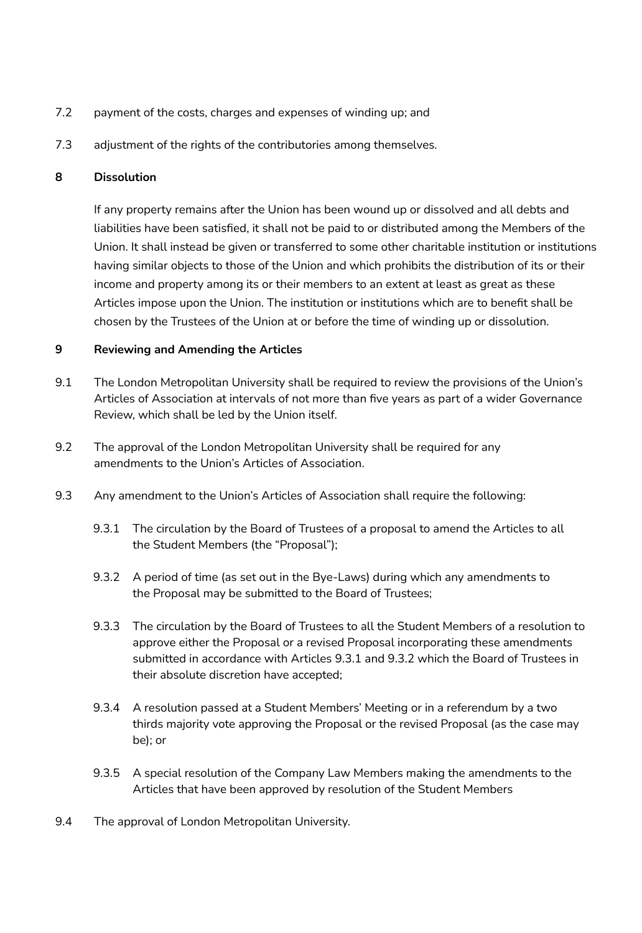- 7.2 payment of the costs, charges and expenses of winding up; and
- 7.3 adjustment of the rights of the contributories among themselves.

## **8 Dissolution**

If any property remains after the Union has been wound up or dissolved and all debts and liabilities have been satisfied, it shall not be paid to or distributed among the Members of the Union. It shall instead be given or transferred to some other charitable institution or institutions having similar objects to those of the Union and which prohibits the distribution of its or their income and property among its or their members to an extent at least as great as these Articles impose upon the Union. The institution or institutions which are to benefit shall be chosen by the Trustees of the Union at or before the time of winding up or dissolution.

## **9 Reviewing and Amending the Articles**

- 9.1 The London Metropolitan University shall be required to review the provisions of the Union's Articles of Association at intervals of not more than five years as part of a wider Governance Review, which shall be led by the Union itself.
- 9.2 The approval of the London Metropolitan University shall be required for any amendments to the Union's Articles of Association.
- 9.3 Any amendment to the Union's Articles of Association shall require the following:
	- 9.3.1 The circulation by the Board of Trustees of a proposal to amend the Articles to all the Student Members (the "Proposal");
	- 9.3.2 A period of time (as set out in the Bye-Laws) during which any amendments to the Proposal may be submitted to the Board of Trustees;
	- 9.3.3 The circulation by the Board of Trustees to all the Student Members of a resolution to approve either the Proposal or a revised Proposal incorporating these amendments submitted in accordance with Articles 9.3.1 and 9.3.2 which the Board of Trustees in their absolute discretion have accepted;
	- 9.3.4 A resolution passed at a Student Members' Meeting or in a referendum by a two thirds majority vote approving the Proposal or the revised Proposal (as the case may be); or
	- 9.3.5 A special resolution of the Company Law Members making the amendments to the Articles that have been approved by resolution of the Student Members
- 9.4 The approval of London Metropolitan University.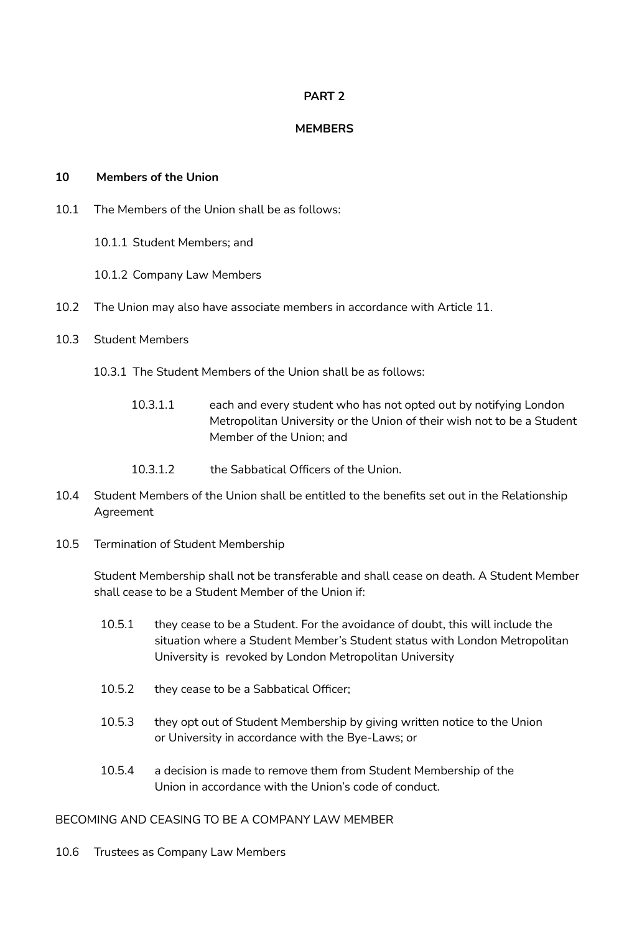## **PART 2**

## **MEMBERS**

### **10 Members of the Union**

- 10.1 The Members of the Union shall be as follows:
	- 10.1.1 Student Members; and
	- 10.1.2 Company Law Members
- 10.2 The Union may also have associate members in accordance with Article 11.
- 10.3 Student Members
	- 10.3.1 The Student Members of the Union shall be as follows:
		- 10.3.1.1 each and every student who has not opted out by notifying London Metropolitan University or the Union of their wish not to be a Student Member of the Union; and
		- 10.3.1.2 the Sabbatical Officers of the Union.
- 10.4 Student Members of the Union shall be entitled to the benefits set out in the Relationship Agreement
- 10.5 Termination of Student Membership

Student Membership shall not be transferable and shall cease on death. A Student Member shall cease to be a Student Member of the Union if:

- 10.5.1 they cease to be a Student. For the avoidance of doubt, this will include the situation where a Student Member's Student status with London Metropolitan University is revoked by London Metropolitan University
- 10.5.2 they cease to be a Sabbatical Officer;
- 10.5.3 they opt out of Student Membership by giving written notice to the Union or University in accordance with the Bye-Laws; or
- 10.5.4 a decision is made to remove them from Student Membership of the Union in accordance with the Union's code of conduct.

### BECOMING AND CEASING TO BE A COMPANY LAW MEMBER

10.6 Trustees as Company Law Members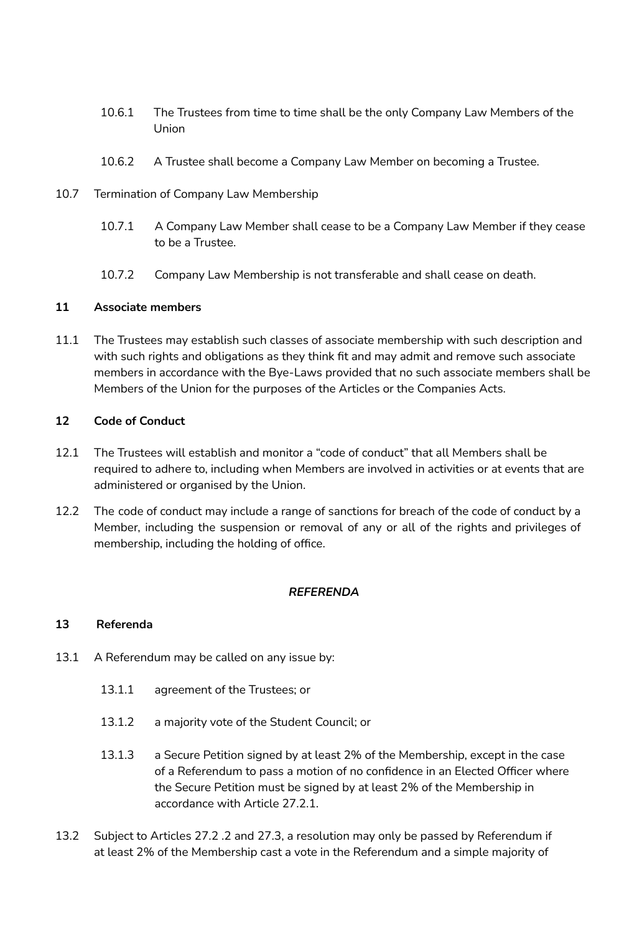- 10.6.1 The Trustees from time to time shall be the only Company Law Members of the Union
- 10.6.2 A Trustee shall become a Company Law Member on becoming a Trustee.
- 10.7 Termination of Company Law Membership
	- 10.7.1 A Company Law Member shall cease to be a Company Law Member if they cease to be a Trustee.
	- 10.7.2 Company Law Membership is not transferable and shall cease on death.

## **11 Associate members**

11.1 The Trustees may establish such classes of associate membership with such description and with such rights and obligations as they think fit and may admit and remove such associate members in accordance with the Bye-Laws provided that no such associate members shall be Members of the Union for the purposes of the Articles or the Companies Acts.

## **12 Code of Conduct**

- 12.1 The Trustees will establish and monitor a "code of conduct" that all Members shall be required to adhere to, including when Members are involved in activities or at events that are administered or organised by the Union.
- 12.2 The code of conduct may include a range of sanctions for breach of the code of conduct by a Member, including the suspension or removal of any or all of the rights and privileges of membership, including the holding of office.

## *REFERENDA*

## **13 Referenda**

- 13.1 A Referendum may be called on any issue by:
	- 13.1.1 agreement of the Trustees; or
	- 13.1.2 a majority vote of the Student Council; or
	- 13.1.3 a Secure Petition signed by at least 2% of the Membership, except in the case of a Referendum to pass a motion of no confidence in an Elected Officer where the Secure Petition must be signed by at least 2% of the Membership in accordance with Article 27.2.1.
- 13.2 Subject to Articles 27.2 .2 and 27.3, a resolution may only be passed by Referendum if at least 2% of the Membership cast a vote in the Referendum and a simple majority of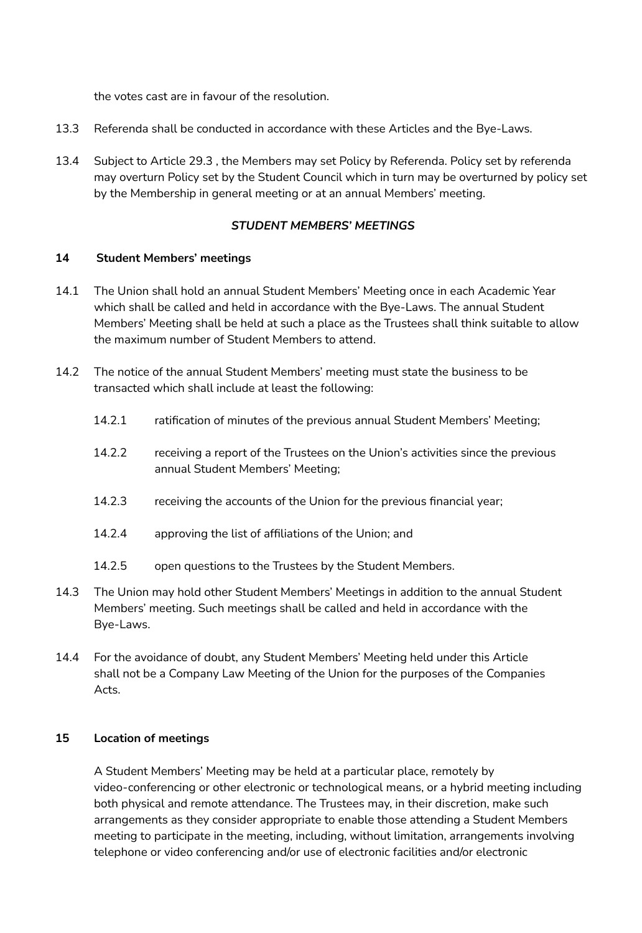the votes cast are in favour of the resolution.

- 13.3 Referenda shall be conducted in accordance with these Articles and the Bye-Laws.
- 13.4 Subject to Article 29.3 , the Members may set Policy by Referenda. Policy set by referenda may overturn Policy set by the Student Council which in turn may be overturned by policy set by the Membership in general meeting or at an annual Members' meeting.

## *STUDENT MEMBERS' MEETINGS*

## **14 Student Members' meetings**

- 14.1 The Union shall hold an annual Student Members' Meeting once in each Academic Year which shall be called and held in accordance with the Bye-Laws. The annual Student Members' Meeting shall be held at such a place as the Trustees shall think suitable to allow the maximum number of Student Members to attend.
- 14.2 The notice of the annual Student Members' meeting must state the business to be transacted which shall include at least the following:
	- 14.2.1 ratification of minutes of the previous annual Student Members' Meeting;
	- 14.2.2 receiving a report of the Trustees on the Union's activities since the previous annual Student Members' Meeting;
	- 14.2.3 receiving the accounts of the Union for the previous financial year;
	- 14.2.4 approving the list of affiliations of the Union; and
	- 14.2.5 open questions to the Trustees by the Student Members.
- 14.3 The Union may hold other Student Members' Meetings in addition to the annual Student Members' meeting. Such meetings shall be called and held in accordance with the Bye-Laws.
- 14.4 For the avoidance of doubt, any Student Members' Meeting held under this Article shall not be a Company Law Meeting of the Union for the purposes of the Companies Acts.

## **15 Location of meetings**

A Student Members' Meeting may be held at a particular place, remotely by video-conferencing or other electronic or technological means, or a hybrid meeting including both physical and remote attendance. The Trustees may, in their discretion, make such arrangements as they consider appropriate to enable those attending a Student Members meeting to participate in the meeting, including, without limitation, arrangements involving telephone or video conferencing and/or use of electronic facilities and/or electronic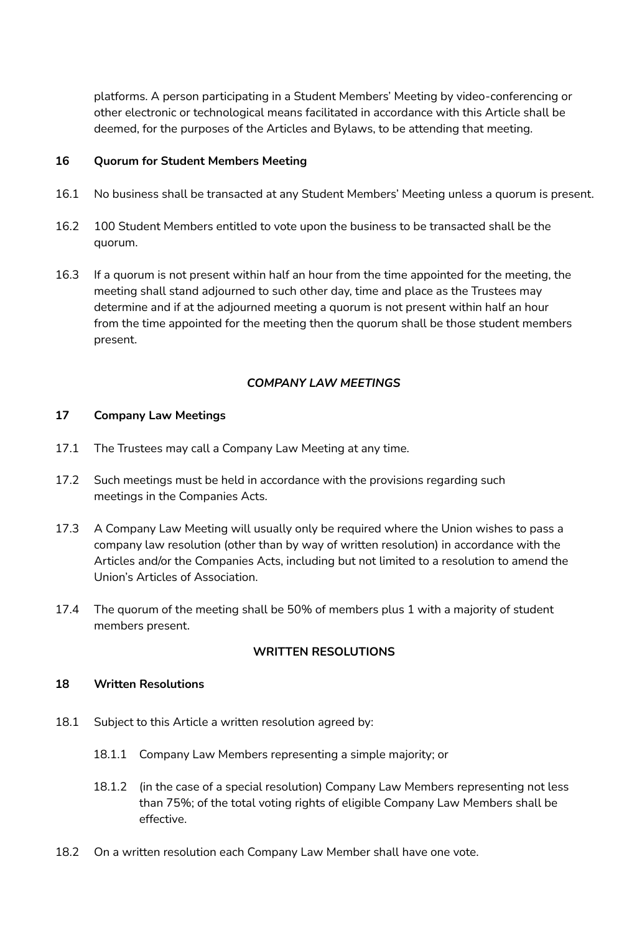platforms. A person participating in a Student Members' Meeting by video-conferencing or other electronic or technological means facilitated in accordance with this Article shall be deemed, for the purposes of the Articles and Bylaws, to be attending that meeting.

### **16 Quorum for Student Members Meeting**

- 16.1 No business shall be transacted at any Student Members' Meeting unless a quorum is present.
- 16.2 100 Student Members entitled to vote upon the business to be transacted shall be the quorum.
- 16.3 If a quorum is not present within half an hour from the time appointed for the meeting, the meeting shall stand adjourned to such other day, time and place as the Trustees may determine and if at the adjourned meeting a quorum is not present within half an hour from the time appointed for the meeting then the quorum shall be those student members present.

## *COMPANY LAW MEETINGS*

### **17 Company Law Meetings**

- 17.1 The Trustees may call a Company Law Meeting at any time.
- 17.2 Such meetings must be held in accordance with the provisions regarding such meetings in the Companies Acts.
- 17.3 A Company Law Meeting will usually only be required where the Union wishes to pass a company law resolution (other than by way of written resolution) in accordance with the Articles and/or the Companies Acts, including but not limited to a resolution to amend the Union's Articles of Association.
- 17.4 The quorum of the meeting shall be 50% of members plus 1 with a majority of student members present.

#### **WRITTEN RESOLUTIONS**

#### **18 Written Resolutions**

- 18.1 Subject to this Article a written resolution agreed by:
	- 18.1.1 Company Law Members representing a simple majority; or
	- 18.1.2 (in the case of a special resolution) Company Law Members representing not less than 75%; of the total voting rights of eligible Company Law Members shall be effective.
- 18.2 On a written resolution each Company Law Member shall have one vote.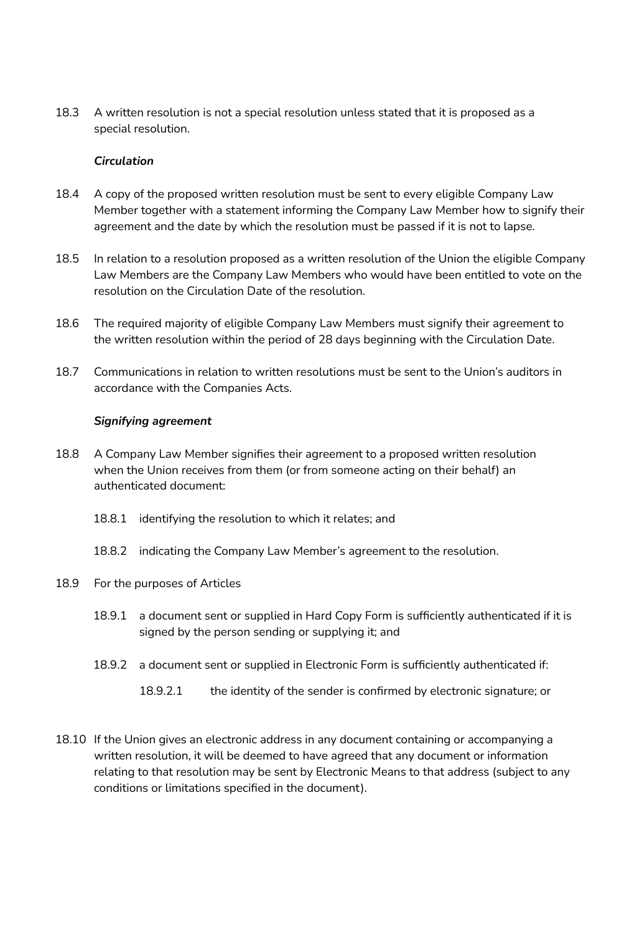18.3 A written resolution is not a special resolution unless stated that it is proposed as a special resolution.

### *Circulation*

- 18.4 A copy of the proposed written resolution must be sent to every eligible Company Law Member together with a statement informing the Company Law Member how to signify their agreement and the date by which the resolution must be passed if it is not to lapse.
- 18.5 In relation to a resolution proposed as a written resolution of the Union the eligible Company Law Members are the Company Law Members who would have been entitled to vote on the resolution on the Circulation Date of the resolution.
- 18.6 The required majority of eligible Company Law Members must signify their agreement to the written resolution within the period of 28 days beginning with the Circulation Date.
- 18.7 Communications in relation to written resolutions must be sent to the Union's auditors in accordance with the Companies Acts.

### *Signifying agreement*

- 18.8 A Company Law Member signifies their agreement to a proposed written resolution when the Union receives from them (or from someone acting on their behalf) an authenticated document:
	- 18.8.1 identifying the resolution to which it relates; and
	- 18.8.2 indicating the Company Law Member's agreement to the resolution.
- 18.9 For the purposes of Articles
	- 18.9.1 a document sent or supplied in Hard Copy Form is sufficiently authenticated if it is signed by the person sending or supplying it; and
	- 18.9.2 a document sent or supplied in Electronic Form is sufficiently authenticated if:
		- 18.9.2.1 the identity of the sender is confirmed by electronic signature; or
- 18.10 If the Union gives an electronic address in any document containing or accompanying a written resolution, it will be deemed to have agreed that any document or information relating to that resolution may be sent by Electronic Means to that address (subject to any conditions or limitations specified in the document).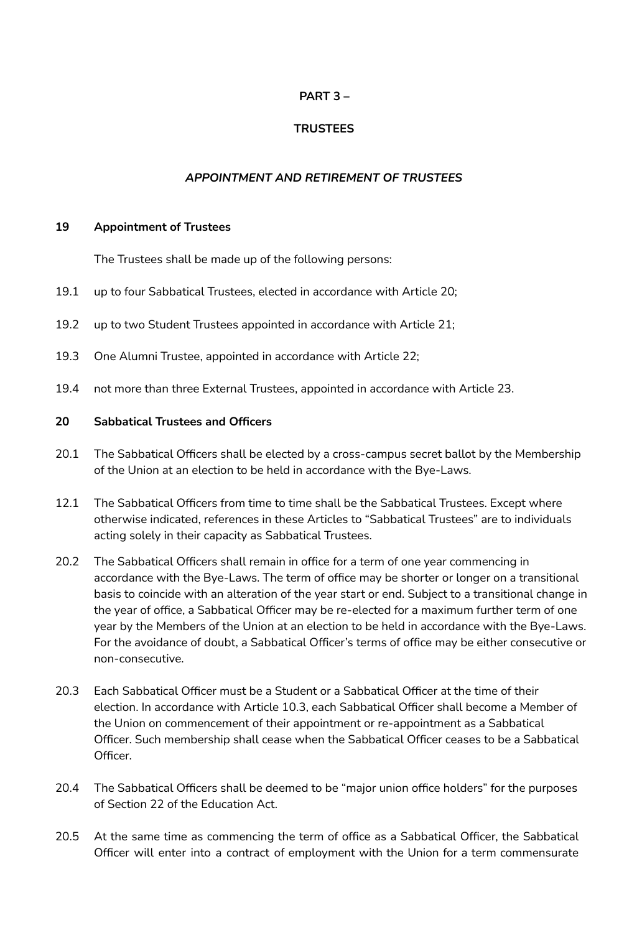## **PART 3 –**

# **TRUSTEES**

## *APPOINTMENT AND RETIREMENT OF TRUSTEES*

### **19 Appointment of Trustees**

The Trustees shall be made up of the following persons:

- 19.1 up to four Sabbatical Trustees, elected in accordance with Article 20;
- 19.2 up to two Student Trustees appointed in accordance with Article 21;
- 19.3 One Alumni Trustee, appointed in accordance with Article 22;
- 19.4 not more than three External Trustees, appointed in accordance with Article 23.

### **20 Sabbatical Trustees and Officers**

- 20.1 The Sabbatical Officers shall be elected by a cross-campus secret ballot by the Membership of the Union at an election to be held in accordance with the Bye-Laws.
- 12.1 The Sabbatical Officers from time to time shall be the Sabbatical Trustees. Except where otherwise indicated, references in these Articles to "Sabbatical Trustees" are to individuals acting solely in their capacity as Sabbatical Trustees.
- 20.2 The Sabbatical Officers shall remain in office for a term of one year commencing in accordance with the Bye-Laws. The term of office may be shorter or longer on a transitional basis to coincide with an alteration of the year start or end. Subject to a transitional change in the year of office, a Sabbatical Officer may be re-elected for a maximum further term of one year by the Members of the Union at an election to be held in accordance with the Bye-Laws. For the avoidance of doubt, a Sabbatical Officer's terms of office may be either consecutive or non-consecutive.
- 20.3 Each Sabbatical Officer must be a Student or a Sabbatical Officer at the time of their election. In accordance with Article 10.3, each Sabbatical Officer shall become a Member of the Union on commencement of their appointment or re-appointment as a Sabbatical Officer. Such membership shall cease when the Sabbatical Officer ceases to be a Sabbatical Officer.
- 20.4 The Sabbatical Officers shall be deemed to be "major union office holders" for the purposes of Section 22 of the Education Act.
- 20.5 At the same time as commencing the term of office as a Sabbatical Officer, the Sabbatical Officer will enter into a contract of employment with the Union for a term commensurate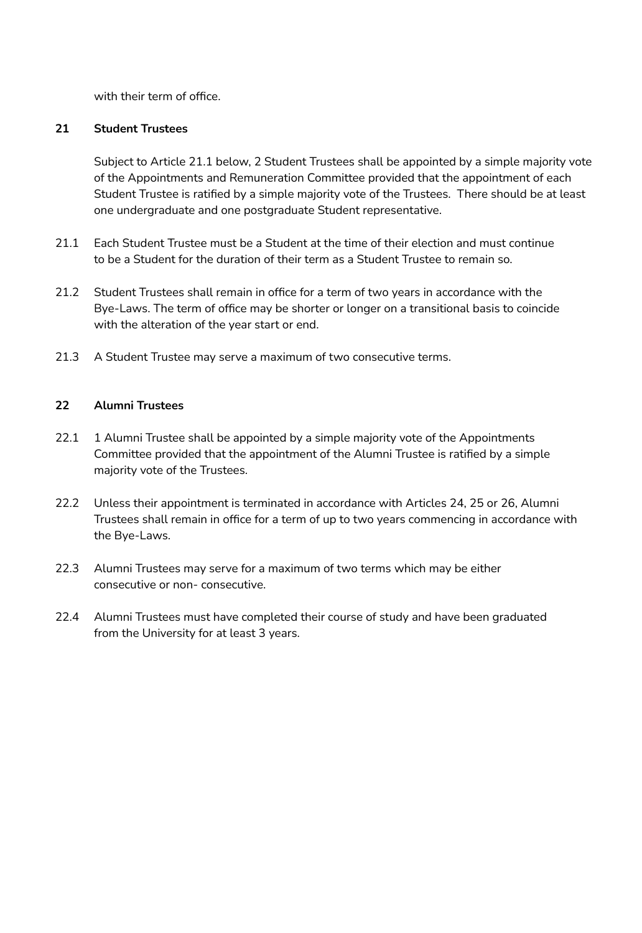with their term of office.

## **21 Student Trustees**

Subject to Article 21.1 below, 2 Student Trustees shall be appointed by a simple majority vote of the Appointments and Remuneration Committee provided that the appointment of each Student Trustee is ratified by a simple majority vote of the Trustees. There should be at least one undergraduate and one postgraduate Student representative.

- 21.1 Each Student Trustee must be a Student at the time of their election and must continue to be a Student for the duration of their term as a Student Trustee to remain so.
- 21.2 Student Trustees shall remain in office for a term of two years in accordance with the Bye-Laws. The term of office may be shorter or longer on a transitional basis to coincide with the alteration of the year start or end.
- 21.3 A Student Trustee may serve a maximum of two consecutive terms.

## **22 Alumni Trustees**

- 22.1 1 Alumni Trustee shall be appointed by a simple majority vote of the Appointments Committee provided that the appointment of the Alumni Trustee is ratified by a simple majority vote of the Trustees.
- 22.2 Unless their appointment is terminated in accordance with Articles 24, 25 or 26, Alumni Trustees shall remain in office for a term of up to two years commencing in accordance with the Bye-Laws.
- 22.3 Alumni Trustees may serve for a maximum of two terms which may be either consecutive or non- consecutive.
- 22.4 Alumni Trustees must have completed their course of study and have been graduated from the University for at least 3 years.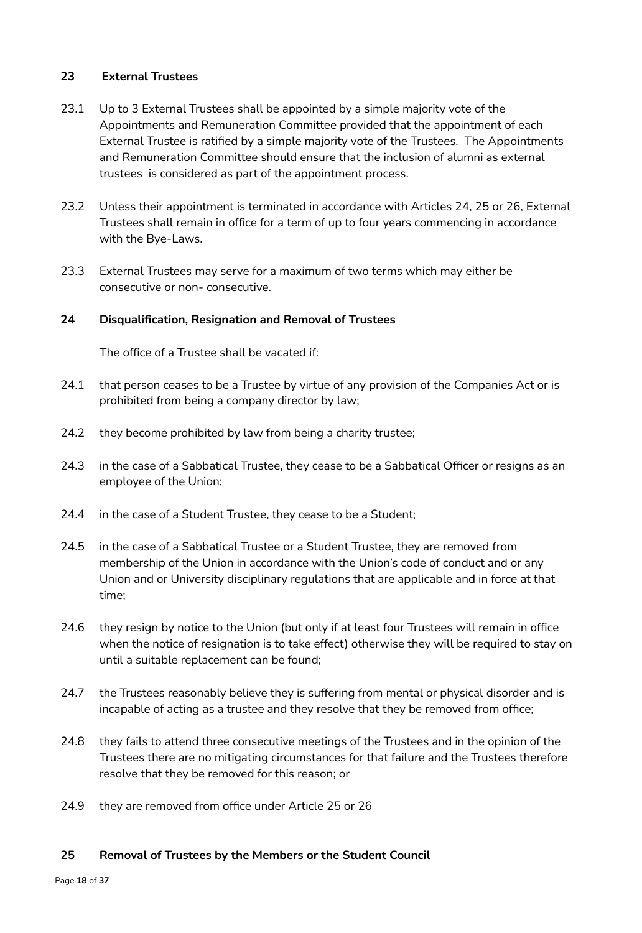## **23 External Trustees**

- 23.1 Up to 3 External Trustees shall be appointed by a simple majority vote of the Appointments and Remuneration Committee provided that the appointment of each External Trustee is ratified by a simple majority vote of the Trustees. The Appointments and Remuneration Committee should ensure that the inclusion of alumni as external trustees is considered as part of the appointment process.
- 23.2 Unless their appointment is terminated in accordance with Articles 24, 25 or 26, External Trustees shall remain in office for a term of up to four years commencing in accordance with the Bye-Laws.
- 23.3 External Trustees may serve for a maximum of two terms which may either be consecutive or non- consecutive.

### **24 Disqualification, Resignation and Removal of Trustees**

The office of a Trustee shall be vacated if:

- 24.1 that person ceases to be a Trustee by virtue of any provision of the Companies Act or is prohibited from being a company director by law;
- 24.2 they become prohibited by law from being a charity trustee;
- 24.3 in the case of a Sabbatical Trustee, they cease to be a Sabbatical Officer or resigns as an employee of the Union;
- 24.4 in the case of a Student Trustee, they cease to be a Student;
- 24.5 in the case of a Sabbatical Trustee or a Student Trustee, they are removed from membership of the Union in accordance with the Union's code of conduct and or any Union and or University disciplinary regulations that are applicable and in force at that time;
- 24.6 they resign by notice to the Union (but only if at least four Trustees will remain in office when the notice of resignation is to take effect) otherwise they will be required to stay on until a suitable replacement can be found;
- 24.7 the Trustees reasonably believe they is suffering from mental or physical disorder and is incapable of acting as a trustee and they resolve that they be removed from office;
- 24.8 they fails to attend three consecutive meetings of the Trustees and in the opinion of the Trustees there are no mitigating circumstances for that failure and the Trustees therefore resolve that they be removed for this reason; or
- 24.9 they are removed from office under Article 25 or 26

#### **25 Removal of Trustees by the Members or the Student Council**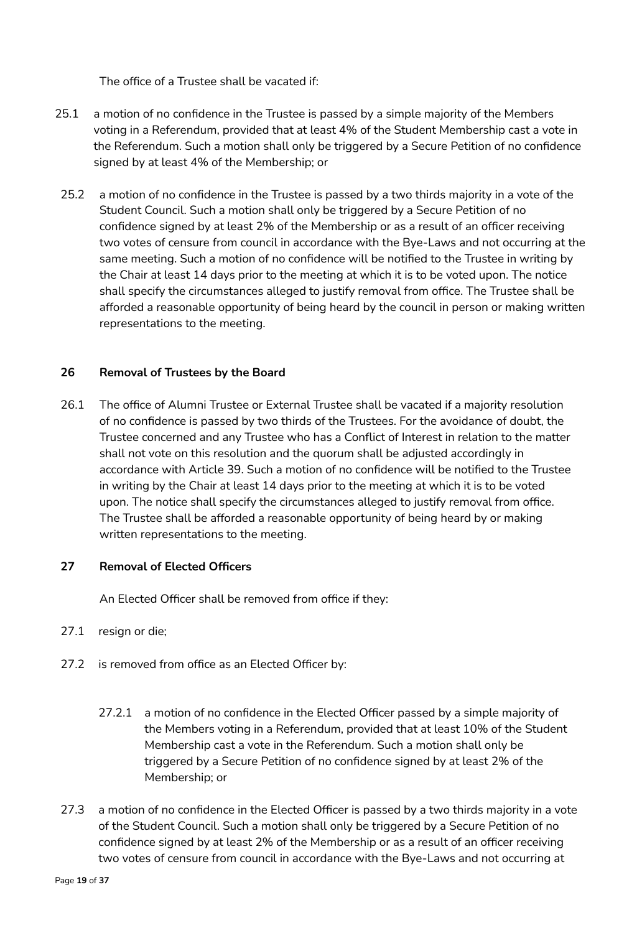The office of a Trustee shall be vacated if:

- 25.1 a motion of no confidence in the Trustee is passed by a simple majority of the Members voting in a Referendum, provided that at least 4% of the Student Membership cast a vote in the Referendum. Such a motion shall only be triggered by a Secure Petition of no confidence signed by at least 4% of the Membership; or
- 25.2 a motion of no confidence in the Trustee is passed by a two thirds majority in a vote of the Student Council. Such a motion shall only be triggered by a Secure Petition of no confidence signed by at least 2% of the Membership or as a result of an officer receiving two votes of censure from council in accordance with the Bye-Laws and not occurring at the same meeting. Such a motion of no confidence will be notified to the Trustee in writing by the Chair at least 14 days prior to the meeting at which it is to be voted upon. The notice shall specify the circumstances alleged to justify removal from office. The Trustee shall be afforded a reasonable opportunity of being heard by the council in person or making written representations to the meeting.

### **26 Removal of Trustees by the Board**

26.1 The office of Alumni Trustee or External Trustee shall be vacated if a majority resolution of no confidence is passed by two thirds of the Trustees. For the avoidance of doubt, the Trustee concerned and any Trustee who has a Conflict of Interest in relation to the matter shall not vote on this resolution and the quorum shall be adjusted accordingly in accordance with Article 39. Such a motion of no confidence will be notified to the Trustee in writing by the Chair at least 14 days prior to the meeting at which it is to be voted upon. The notice shall specify the circumstances alleged to justify removal from office. The Trustee shall be afforded a reasonable opportunity of being heard by or making written representations to the meeting.

#### **27 Removal of Elected Officers**

An Elected Officer shall be removed from office if they:

## 27.1 resign or die;

- 27.2 is removed from office as an Elected Officer by:
	- 27.2.1 a motion of no confidence in the Elected Officer passed by a simple majority of the Members voting in a Referendum, provided that at least 10% of the Student Membership cast a vote in the Referendum. Such a motion shall only be triggered by a Secure Petition of no confidence signed by at least 2% of the Membership; or
- 27.3 a motion of no confidence in the Elected Officer is passed by a two thirds majority in a vote of the Student Council. Such a motion shall only be triggered by a Secure Petition of no confidence signed by at least 2% of the Membership or as a result of an officer receiving two votes of censure from council in accordance with the Bye-Laws and not occurring at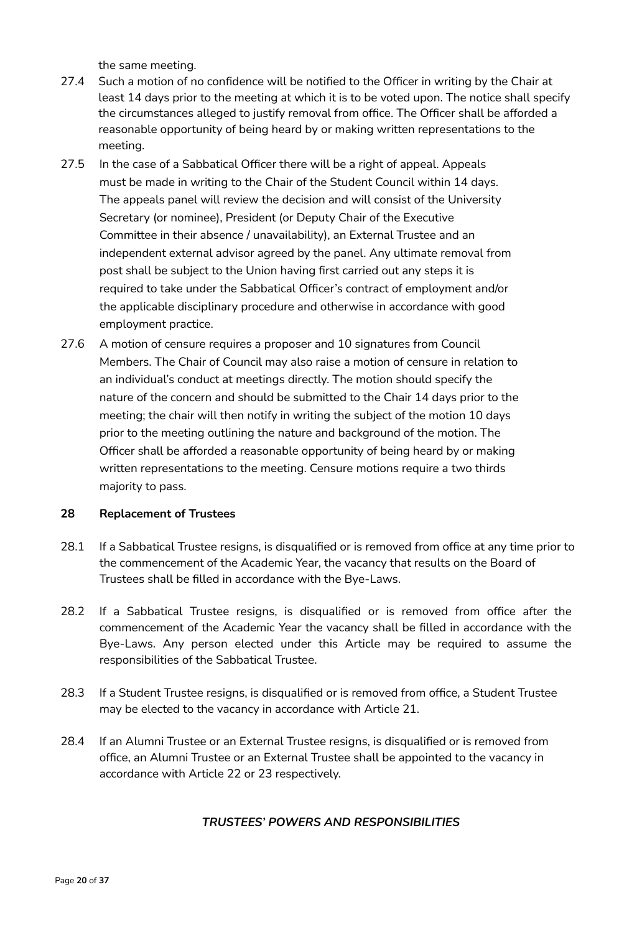the same meeting.

- 27.4 Such a motion of no confidence will be notified to the Officer in writing by the Chair at least 14 days prior to the meeting at which it is to be voted upon. The notice shall specify the circumstances alleged to justify removal from office. The Officer shall be afforded a reasonable opportunity of being heard by or making written representations to the meeting.
- 27.5 In the case of a Sabbatical Officer there will be a right of appeal. Appeals must be made in writing to the Chair of the Student Council within 14 days. The appeals panel will review the decision and will consist of the University Secretary (or nominee), President (or Deputy Chair of the Executive Committee in their absence / unavailability), an External Trustee and an independent external advisor agreed by the panel. Any ultimate removal from post shall be subject to the Union having first carried out any steps it is required to take under the Sabbatical Officer's contract of employment and/or the applicable disciplinary procedure and otherwise in accordance with good employment practice.
- 27.6 A motion of censure requires a proposer and 10 signatures from Council Members. The Chair of Council may also raise a motion of censure in relation to an individual's conduct at meetings directly. The motion should specify the nature of the concern and should be submitted to the Chair 14 days prior to the meeting; the chair will then notify in writing the subject of the motion 10 days prior to the meeting outlining the nature and background of the motion. The Officer shall be afforded a reasonable opportunity of being heard by or making written representations to the meeting. Censure motions require a two thirds majority to pass.

#### **28 Replacement of Trustees**

- 28.1 If a Sabbatical Trustee resigns, is disqualified or is removed from office at any time prior to the commencement of the Academic Year, the vacancy that results on the Board of Trustees shall be filled in accordance with the Bye-Laws.
- 28.2 If a Sabbatical Trustee resigns, is disqualified or is removed from office after the commencement of the Academic Year the vacancy shall be filled in accordance with the Bye-Laws. Any person elected under this Article may be required to assume the responsibilities of the Sabbatical Trustee.
- 28.3 If a Student Trustee resigns, is disqualified or is removed from office, a Student Trustee may be elected to the vacancy in accordance with Article 21.
- 28.4 If an Alumni Trustee or an External Trustee resigns, is disqualified or is removed from office, an Alumni Trustee or an External Trustee shall be appointed to the vacancy in accordance with Article 22 or 23 respectively.

#### *TRUSTEES' POWERS AND RESPONSIBILITIES*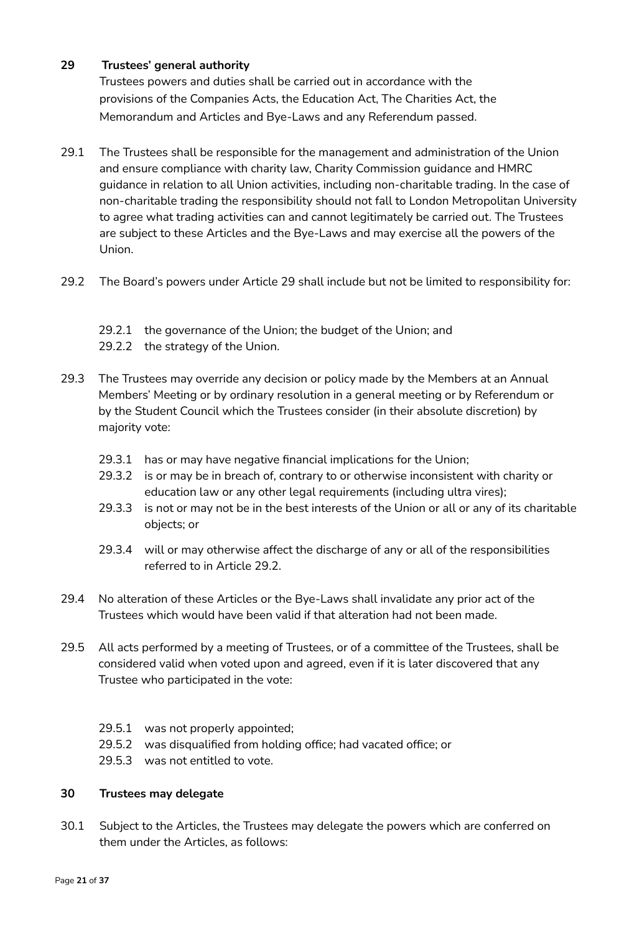## **29 Trustees' general authority**

Trustees powers and duties shall be carried out in accordance with the provisions of the Companies Acts, the Education Act, The Charities Act, the Memorandum and Articles and Bye-Laws and any Referendum passed.

- 29.1 The Trustees shall be responsible for the management and administration of the Union and ensure compliance with charity law, Charity Commission guidance and HMRC guidance in relation to all Union activities, including non-charitable trading. In the case of non-charitable trading the responsibility should not fall to London Metropolitan University to agree what trading activities can and cannot legitimately be carried out. The Trustees are subject to these Articles and the Bye-Laws and may exercise all the powers of the Union.
- 29.2 The Board's powers under Article 29 shall include but not be limited to responsibility for:
	- 29.2.1 the governance of the Union; the budget of the Union; and
	- 29.2.2 the strategy of the Union.
- 29.3 The Trustees may override any decision or policy made by the Members at an Annual Members' Meeting or by ordinary resolution in a general meeting or by Referendum or by the Student Council which the Trustees consider (in their absolute discretion) by majority vote:
	- 29.3.1 has or may have negative financial implications for the Union;
	- 29.3.2 is or may be in breach of, contrary to or otherwise inconsistent with charity or education law or any other legal requirements (including ultra vires);
	- 29.3.3 is not or may not be in the best interests of the Union or all or any of its charitable objects; or
	- 29.3.4 will or may otherwise affect the discharge of any or all of the responsibilities referred to in Article 29.2.
- 29.4 No alteration of these Articles or the Bye-Laws shall invalidate any prior act of the Trustees which would have been valid if that alteration had not been made.
- 29.5 All acts performed by a meeting of Trustees, or of a committee of the Trustees, shall be considered valid when voted upon and agreed, even if it is later discovered that any Trustee who participated in the vote:
	- 29.5.1 was not properly appointed;
	- 29.5.2 was disqualified from holding office; had vacated office; or
	- 29.5.3 was not entitled to vote.

## **30 Trustees may delegate**

30.1 Subject to the Articles, the Trustees may delegate the powers which are conferred on them under the Articles, as follows: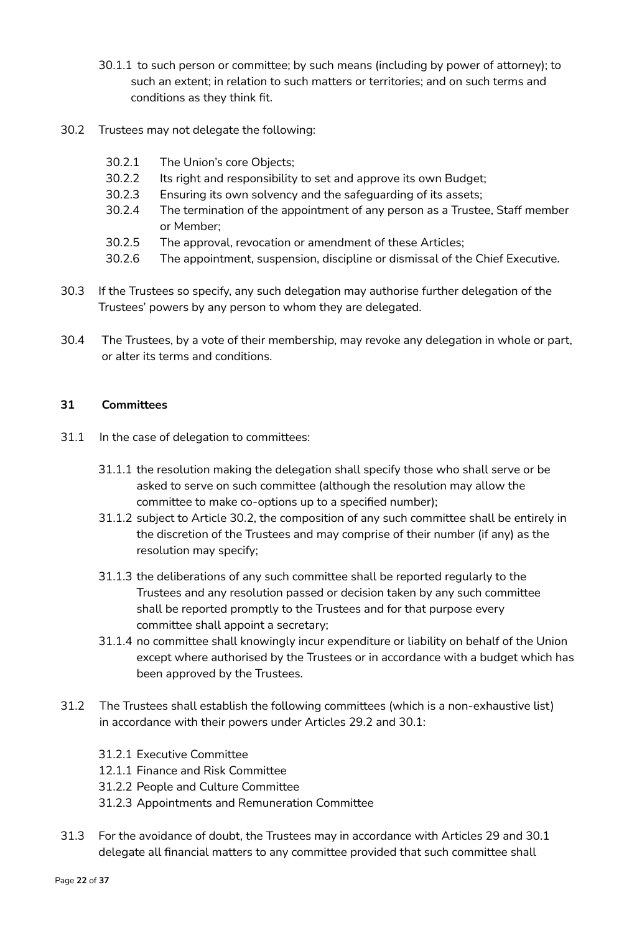- 30.1.1 to such person or committee; by such means (including by power of attorney); to such an extent; in relation to such matters or territories; and on such terms and conditions as they think fit.
- 30.2 Trustees may not delegate the following:
	- 30.2.1 The Union's core Objects;
	- 30.2.2 Its right and responsibility to set and approve its own Budget;
	- 30.2.3 Ensuring its own solvency and the safeguarding of its assets;
	- 30.2.4 The termination of the appointment of any person as a Trustee, Staff member or Member;
	- 30.2.5 The approval, revocation or amendment of these Articles;
	- 30.2.6 The appointment, suspension, discipline or dismissal of the Chief Executive.
- 30.3 If the Trustees so specify, any such delegation may authorise further delegation of the Trustees' powers by any person to whom they are delegated.
- 30.4 The Trustees, by a vote of their membership, may revoke any delegation in whole or part, or alter its terms and conditions.

#### **31 Committees**

- 31.1 In the case of delegation to committees:
	- 31.1.1 the resolution making the delegation shall specify those who shall serve or be asked to serve on such committee (although the resolution may allow the committee to make co-options up to a specified number);
	- 31.1.2 subject to Article 30.2, the composition of any such committee shall be entirely in the discretion of the Trustees and may comprise of their number (if any) as the resolution may specify;
	- 31.1.3 the deliberations of any such committee shall be reported regularly to the Trustees and any resolution passed or decision taken by any such committee shall be reported promptly to the Trustees and for that purpose every committee shall appoint a secretary;
	- 31.1.4 no committee shall knowingly incur expenditure or liability on behalf of the Union except where authorised by the Trustees or in accordance with a budget which has been approved by the Trustees.
- 31.2 The Trustees shall establish the following committees (which is a non-exhaustive list) in accordance with their powers under Articles 29.2 and 30.1:
	- 31.2.1 Executive Committee
	- 12.1.1 Finance and Risk Committee
	- 31.2.2 People and Culture Committee
	- 31.2.3 Appointments and Remuneration Committee
- 31.3 For the avoidance of doubt, the Trustees may in accordance with Articles 29 and 30.1 delegate all financial matters to any committee provided that such committee shall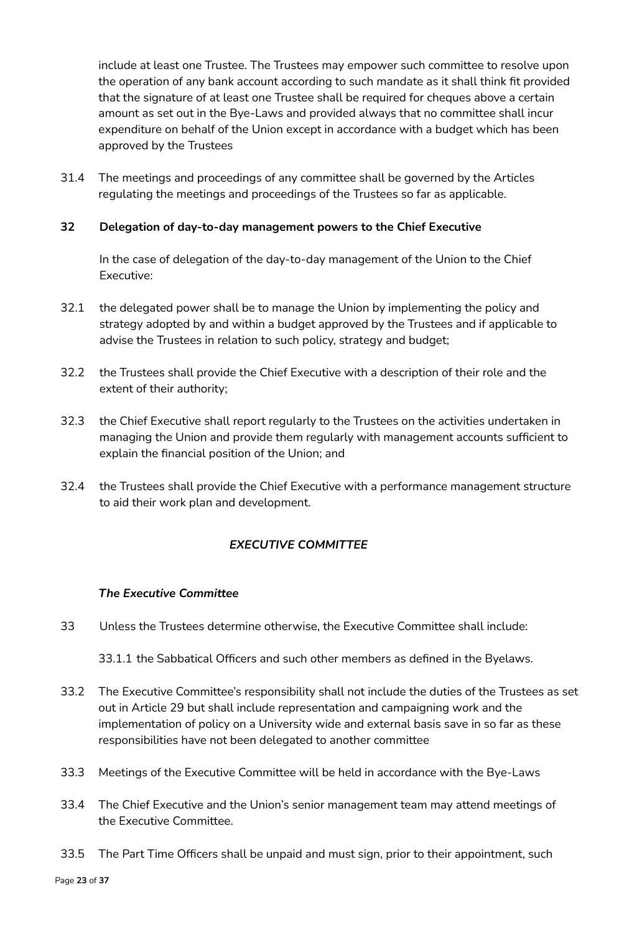include at least one Trustee. The Trustees may empower such committee to resolve upon the operation of any bank account according to such mandate as it shall think fit provided that the signature of at least one Trustee shall be required for cheques above a certain amount as set out in the Bye-Laws and provided always that no committee shall incur expenditure on behalf of the Union except in accordance with a budget which has been approved by the Trustees

31.4 The meetings and proceedings of any committee shall be governed by the Articles regulating the meetings and proceedings of the Trustees so far as applicable.

## **32 Delegation of day-to-day management powers to the Chief Executive**

In the case of delegation of the day-to-day management of the Union to the Chief Executive:

- 32.1 the delegated power shall be to manage the Union by implementing the policy and strategy adopted by and within a budget approved by the Trustees and if applicable to advise the Trustees in relation to such policy, strategy and budget;
- 32.2 the Trustees shall provide the Chief Executive with a description of their role and the extent of their authority;
- 32.3 the Chief Executive shall report regularly to the Trustees on the activities undertaken in managing the Union and provide them regularly with management accounts sufficient to explain the financial position of the Union; and
- 32.4 the Trustees shall provide the Chief Executive with a performance management structure to aid their work plan and development.

# *EXECUTIVE COMMITTEE*

## *The Executive Committee*

33 Unless the Trustees determine otherwise, the Executive Committee shall include:

33.1.1 the Sabbatical Officers and such other members as defined in the Byelaws.

- 33.2 The Executive Committee's responsibility shall not include the duties of the Trustees as set out in Article 29 but shall include representation and campaigning work and the implementation of policy on a University wide and external basis save in so far as these responsibilities have not been delegated to another committee
- 33.3 Meetings of the Executive Committee will be held in accordance with the Bye-Laws
- 33.4 The Chief Executive and the Union's senior management team may attend meetings of the Executive Committee.
- 33.5 The Part Time Officers shall be unpaid and must sign, prior to their appointment, such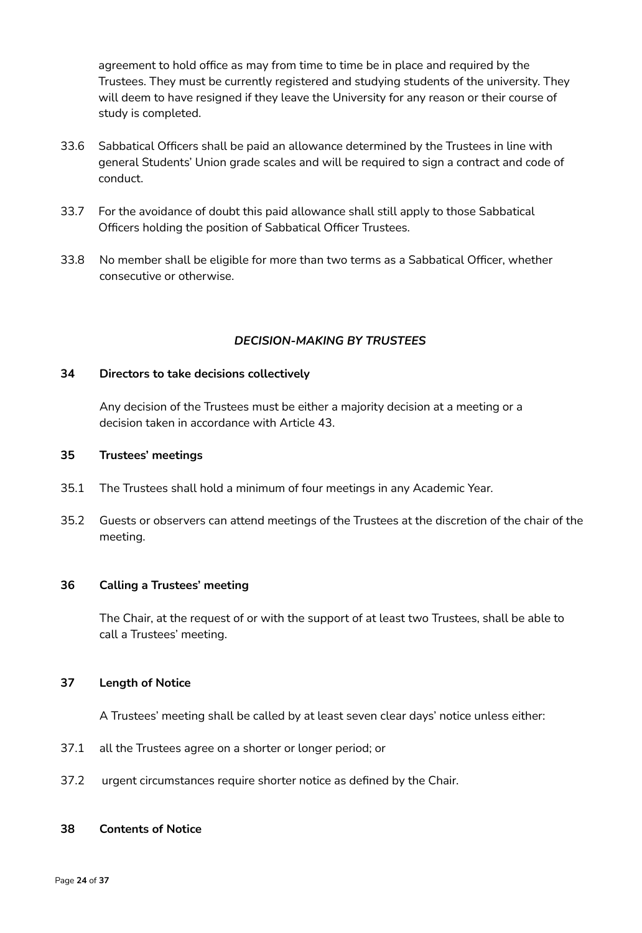agreement to hold office as may from time to time be in place and required by the Trustees. They must be currently registered and studying students of the university. They will deem to have resigned if they leave the University for any reason or their course of study is completed.

- 33.6 Sabbatical Officers shall be paid an allowance determined by the Trustees in line with general Students' Union grade scales and will be required to sign a contract and code of conduct.
- 33.7 For the avoidance of doubt this paid allowance shall still apply to those Sabbatical Officers holding the position of Sabbatical Officer Trustees.
- 33.8 No member shall be eligible for more than two terms as a Sabbatical Officer, whether consecutive or otherwise.

#### *DECISION-MAKING BY TRUSTEES*

#### **34 Directors to take decisions collectively**

Any decision of the Trustees must be either a majority decision at a meeting or a decision taken in accordance with Article 43.

### **35 Trustees' meetings**

- 35.1 The Trustees shall hold a minimum of four meetings in any Academic Year.
- 35.2 Guests or observers can attend meetings of the Trustees at the discretion of the chair of the meeting.

#### **36 Calling a Trustees' meeting**

The Chair, at the request of or with the support of at least two Trustees, shall be able to call a Trustees' meeting.

#### **37 Length of Notice**

A Trustees' meeting shall be called by at least seven clear days' notice unless either:

- 37.1 all the Trustees agree on a shorter or longer period; or
- 37.2 urgent circumstances require shorter notice as defined by the Chair.

#### **38 Contents of Notice**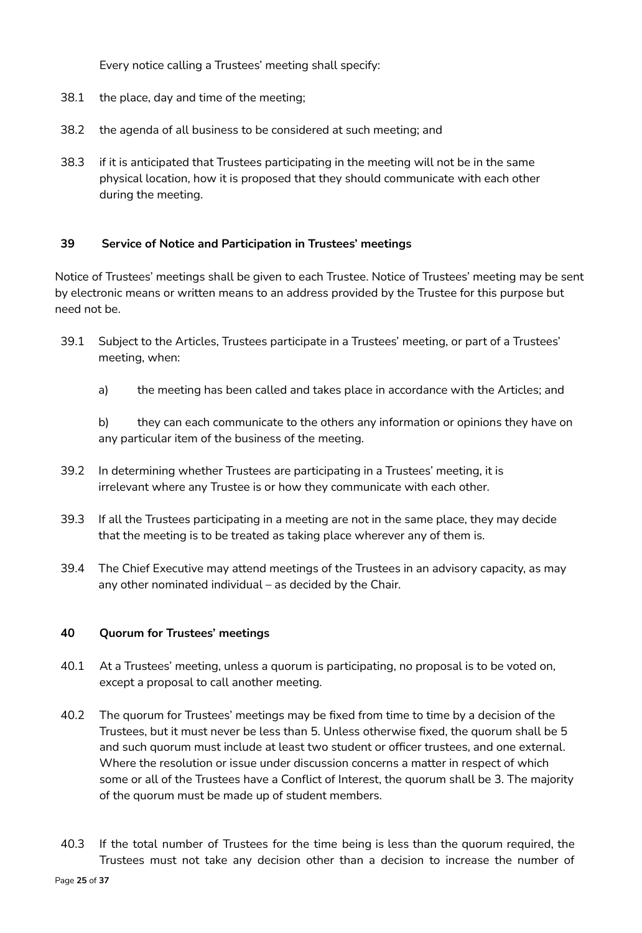Every notice calling a Trustees' meeting shall specify:

- 38.1 the place, day and time of the meeting;
- 38.2 the agenda of all business to be considered at such meeting; and
- 38.3 if it is anticipated that Trustees participating in the meeting will not be in the same physical location, how it is proposed that they should communicate with each other during the meeting.

#### **39 Service of Notice and Participation in Trustees' meetings**

Notice of Trustees' meetings shall be given to each Trustee. Notice of Trustees' meeting may be sent by electronic means or written means to an address provided by the Trustee for this purpose but need not be.

- 39.1 Subject to the Articles, Trustees participate in a Trustees' meeting, or part of a Trustees' meeting, when:
	- a) the meeting has been called and takes place in accordance with the Articles; and

b) they can each communicate to the others any information or opinions they have on any particular item of the business of the meeting.

- 39.2 In determining whether Trustees are participating in a Trustees' meeting, it is irrelevant where any Trustee is or how they communicate with each other.
- 39.3 If all the Trustees participating in a meeting are not in the same place, they may decide that the meeting is to be treated as taking place wherever any of them is.
- 39.4 The Chief Executive may attend meetings of the Trustees in an advisory capacity, as may any other nominated individual – as decided by the Chair.

#### **40 Quorum for Trustees' meetings**

- 40.1 At a Trustees' meeting, unless a quorum is participating, no proposal is to be voted on, except a proposal to call another meeting.
- 40.2 The quorum for Trustees' meetings may be fixed from time to time by a decision of the Trustees, but it must never be less than 5. Unless otherwise fixed, the quorum shall be 5 and such quorum must include at least two student or officer trustees, and one external. Where the resolution or issue under discussion concerns a matter in respect of which some or all of the Trustees have a Conflict of Interest, the quorum shall be 3. The majority of the quorum must be made up of student members.
- 40.3 If the total number of Trustees for the time being is less than the quorum required, the Trustees must not take any decision other than a decision to increase the number of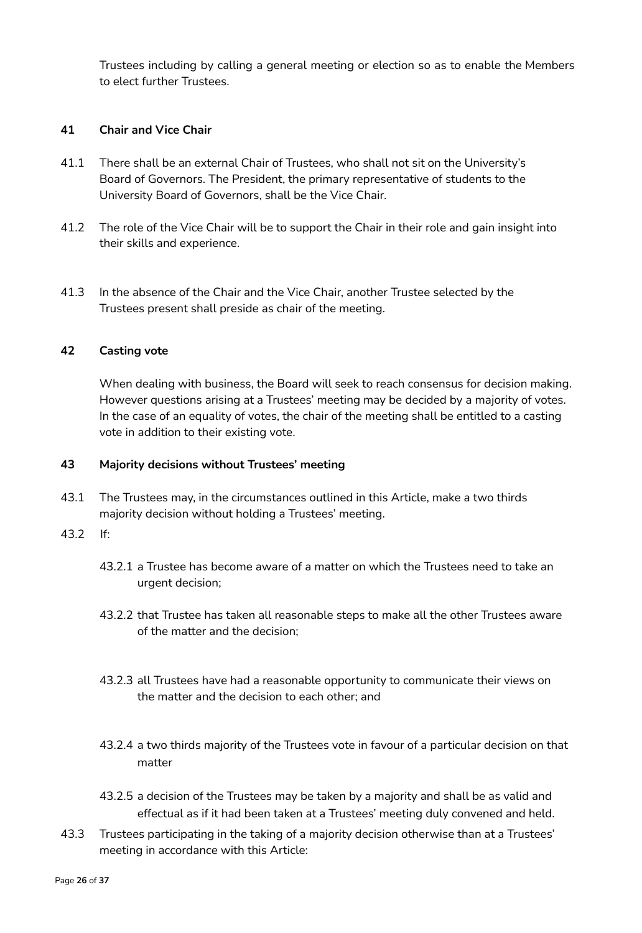Trustees including by calling a general meeting or election so as to enable the Members to elect further Trustees.

### **41 Chair and Vice Chair**

- 41.1 There shall be an external Chair of Trustees, who shall not sit on the University's Board of Governors. The President, the primary representative of students to the University Board of Governors, shall be the Vice Chair.
- 41.2 The role of the Vice Chair will be to support the Chair in their role and gain insight into their skills and experience.
- 41.3 In the absence of the Chair and the Vice Chair, another Trustee selected by the Trustees present shall preside as chair of the meeting.

#### **42 Casting vote**

When dealing with business, the Board will seek to reach consensus for decision making. However questions arising at a Trustees' meeting may be decided by a majority of votes. In the case of an equality of votes, the chair of the meeting shall be entitled to a casting vote in addition to their existing vote.

#### **43 Majority decisions without Trustees' meeting**

43.1 The Trustees may, in the circumstances outlined in this Article, make a two thirds majority decision without holding a Trustees' meeting.

#### 43.2 If:

- 43.2.1 a Trustee has become aware of a matter on which the Trustees need to take an urgent decision;
- 43.2.2 that Trustee has taken all reasonable steps to make all the other Trustees aware of the matter and the decision;
- 43.2.3 all Trustees have had a reasonable opportunity to communicate their views on the matter and the decision to each other; and
- 43.2.4 a two thirds majority of the Trustees vote in favour of a particular decision on that matter
- 43.2.5 a decision of the Trustees may be taken by a majority and shall be as valid and effectual as if it had been taken at a Trustees' meeting duly convened and held.
- 43.3 Trustees participating in the taking of a majority decision otherwise than at a Trustees' meeting in accordance with this Article: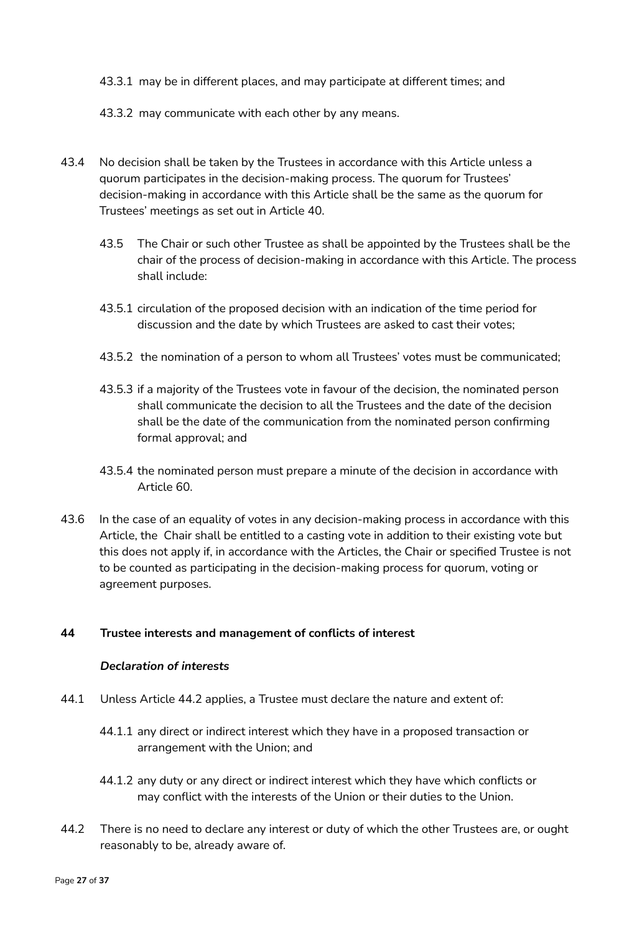43.3.1 may be in different places, and may participate at different times; and

43.3.2 may communicate with each other by any means.

- 43.4 No decision shall be taken by the Trustees in accordance with this Article unless a quorum participates in the decision-making process. The quorum for Trustees' decision-making in accordance with this Article shall be the same as the quorum for Trustees' meetings as set out in Article 40.
	- 43.5 The Chair or such other Trustee as shall be appointed by the Trustees shall be the chair of the process of decision-making in accordance with this Article. The process shall include:
	- 43.5.1 circulation of the proposed decision with an indication of the time period for discussion and the date by which Trustees are asked to cast their votes;
	- 43.5.2 the nomination of a person to whom all Trustees' votes must be communicated;
	- 43.5.3 if a majority of the Trustees vote in favour of the decision, the nominated person shall communicate the decision to all the Trustees and the date of the decision shall be the date of the communication from the nominated person confirming formal approval; and
	- 43.5.4 the nominated person must prepare a minute of the decision in accordance with Article 60.
- 43.6 In the case of an equality of votes in any decision-making process in accordance with this Article, the Chair shall be entitled to a casting vote in addition to their existing vote but this does not apply if, in accordance with the Articles, the Chair or specified Trustee is not to be counted as participating in the decision-making process for quorum, voting or agreement purposes.

#### **44 Trustee interests and management of conflicts of interest**

#### *Declaration of interests*

- 44.1 Unless Article 44.2 applies, a Trustee must declare the nature and extent of:
	- 44.1.1 any direct or indirect interest which they have in a proposed transaction or arrangement with the Union; and
	- 44.1.2 any duty or any direct or indirect interest which they have which conflicts or may conflict with the interests of the Union or their duties to the Union.
- 44.2 There is no need to declare any interest or duty of which the other Trustees are, or ought reasonably to be, already aware of.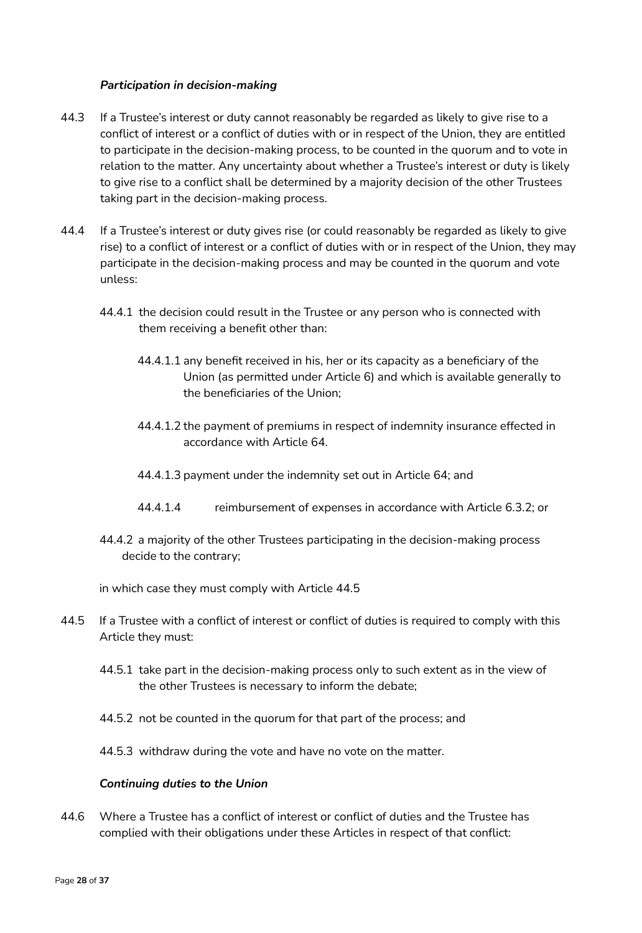### *Participation in decision-making*

- 44.3 If a Trustee's interest or duty cannot reasonably be regarded as likely to give rise to a conflict of interest or a conflict of duties with or in respect of the Union, they are entitled to participate in the decision-making process, to be counted in the quorum and to vote in relation to the matter. Any uncertainty about whether a Trustee's interest or duty is likely to give rise to a conflict shall be determined by a majority decision of the other Trustees taking part in the decision-making process.
- 44.4 If a Trustee's interest or duty gives rise (or could reasonably be regarded as likely to give rise) to a conflict of interest or a conflict of duties with or in respect of the Union, they may participate in the decision-making process and may be counted in the quorum and vote unless:
	- 44.4.1 the decision could result in the Trustee or any person who is connected with them receiving a benefit other than:
		- 44.4.1.1 any benefit received in his, her or its capacity as a beneficiary of the Union (as permitted under Article 6) and which is available generally to the beneficiaries of the Union;
		- 44.4.1.2 the payment of premiums in respect of indemnity insurance effected in accordance with Article 64.
		- 44.4.1.3 payment under the indemnity set out in Article 64; and
		- 44.4.1.4 reimbursement of expenses in accordance with Article 6.3.2; or
	- 44.4.2 a majority of the other Trustees participating in the decision-making process decide to the contrary;

in which case they must comply with Article 44.5

- 44.5 If a Trustee with a conflict of interest or conflict of duties is required to comply with this Article they must:
	- 44.5.1 take part in the decision-making process only to such extent as in the view of the other Trustees is necessary to inform the debate;
	- 44.5.2 not be counted in the quorum for that part of the process; and
	- 44.5.3 withdraw during the vote and have no vote on the matter.

#### *Continuing duties to the Union*

44.6 Where a Trustee has a conflict of interest or conflict of duties and the Trustee has complied with their obligations under these Articles in respect of that conflict: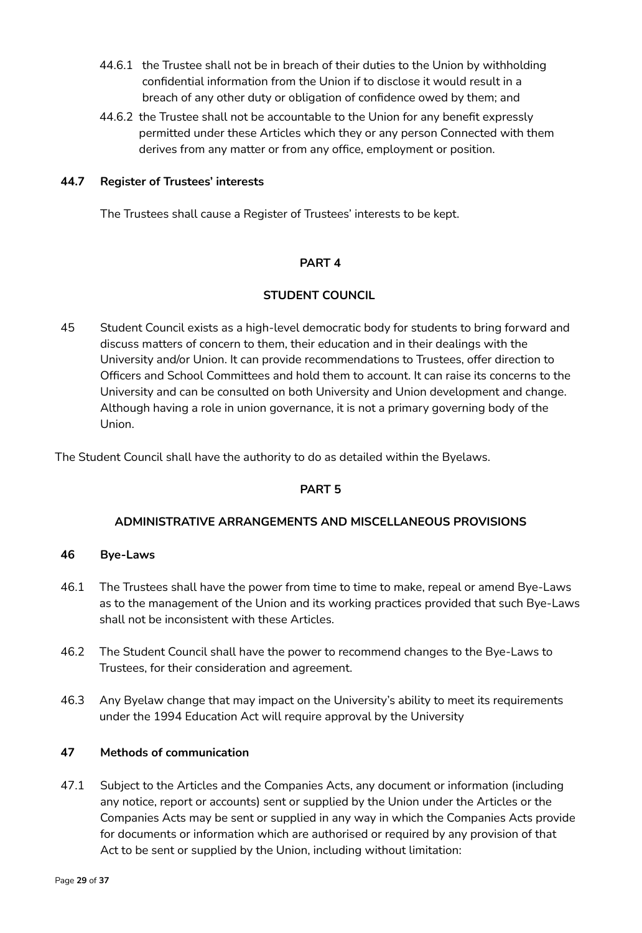- 44.6.1 the Trustee shall not be in breach of their duties to the Union by withholding confidential information from the Union if to disclose it would result in a breach of any other duty or obligation of confidence owed by them; and
- 44.6.2 the Trustee shall not be accountable to the Union for any benefit expressly permitted under these Articles which they or any person Connected with them derives from any matter or from any office, employment or position.

## **44.7 Register of Trustees' interests**

The Trustees shall cause a Register of Trustees' interests to be kept.

## **PART 4**

## **STUDENT COUNCIL**

45 Student Council exists as a high-level democratic body for students to bring forward and discuss matters of concern to them, their education and in their dealings with the University and/or Union. It can provide recommendations to Trustees, offer direction to Officers and School Committees and hold them to account. It can raise its concerns to the University and can be consulted on both University and Union development and change. Although having a role in union governance, it is not a primary governing body of the Union.

The Student Council shall have the authority to do as detailed within the Byelaws.

# **PART 5**

## **ADMINISTRATIVE ARRANGEMENTS AND MISCELLANEOUS PROVISIONS**

## **46 Bye-Laws**

- 46.1 The Trustees shall have the power from time to time to make, repeal or amend Bye-Laws as to the management of the Union and its working practices provided that such Bye-Laws shall not be inconsistent with these Articles.
- 46.2 The Student Council shall have the power to recommend changes to the Bye-Laws to Trustees, for their consideration and agreement.
- 46.3 Any Byelaw change that may impact on the University's ability to meet its requirements under the 1994 Education Act will require approval by the University

## **47 Methods of communication**

47.1 Subject to the Articles and the Companies Acts, any document or information (including any notice, report or accounts) sent or supplied by the Union under the Articles or the Companies Acts may be sent or supplied in any way in which the Companies Acts provide for documents or information which are authorised or required by any provision of that Act to be sent or supplied by the Union, including without limitation: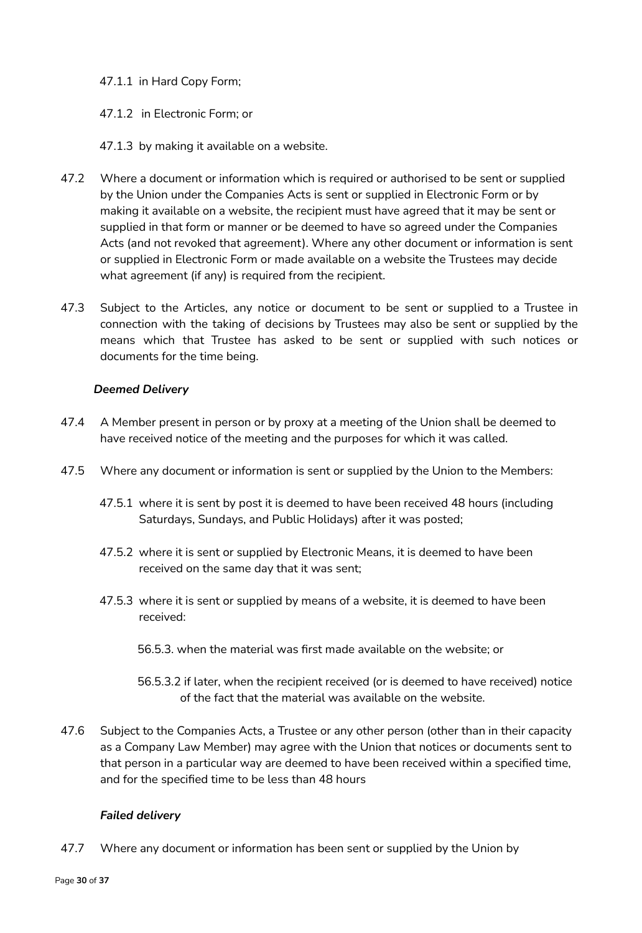## 47.1.1 in Hard Copy Form;

## 47.1.2 in Electronic Form; or

### 47.1.3 by making it available on a website.

- 47.2 Where a document or information which is required or authorised to be sent or supplied by the Union under the Companies Acts is sent or supplied in Electronic Form or by making it available on a website, the recipient must have agreed that it may be sent or supplied in that form or manner or be deemed to have so agreed under the Companies Acts (and not revoked that agreement). Where any other document or information is sent or supplied in Electronic Form or made available on a website the Trustees may decide what agreement (if any) is required from the recipient.
- 47.3 Subject to the Articles, any notice or document to be sent or supplied to a Trustee in connection with the taking of decisions by Trustees may also be sent or supplied by the means which that Trustee has asked to be sent or supplied with such notices or documents for the time being.

### *Deemed Delivery*

- 47.4 A Member present in person or by proxy at a meeting of the Union shall be deemed to have received notice of the meeting and the purposes for which it was called.
- 47.5 Where any document or information is sent or supplied by the Union to the Members:
	- 47.5.1 where it is sent by post it is deemed to have been received 48 hours (including Saturdays, Sundays, and Public Holidays) after it was posted;
	- 47.5.2 where it is sent or supplied by Electronic Means, it is deemed to have been received on the same day that it was sent;
	- 47.5.3 where it is sent or supplied by means of a website, it is deemed to have been received:
		- 56.5.3. when the material was first made available on the website; or
		- 56.5.3.2 if later, when the recipient received (or is deemed to have received) notice of the fact that the material was available on the website.
- 47.6 Subject to the Companies Acts, a Trustee or any other person (other than in their capacity as a Company Law Member) may agree with the Union that notices or documents sent to that person in a particular way are deemed to have been received within a specified time, and for the specified time to be less than 48 hours

## *Failed delivery*

47.7 Where any document or information has been sent or supplied by the Union by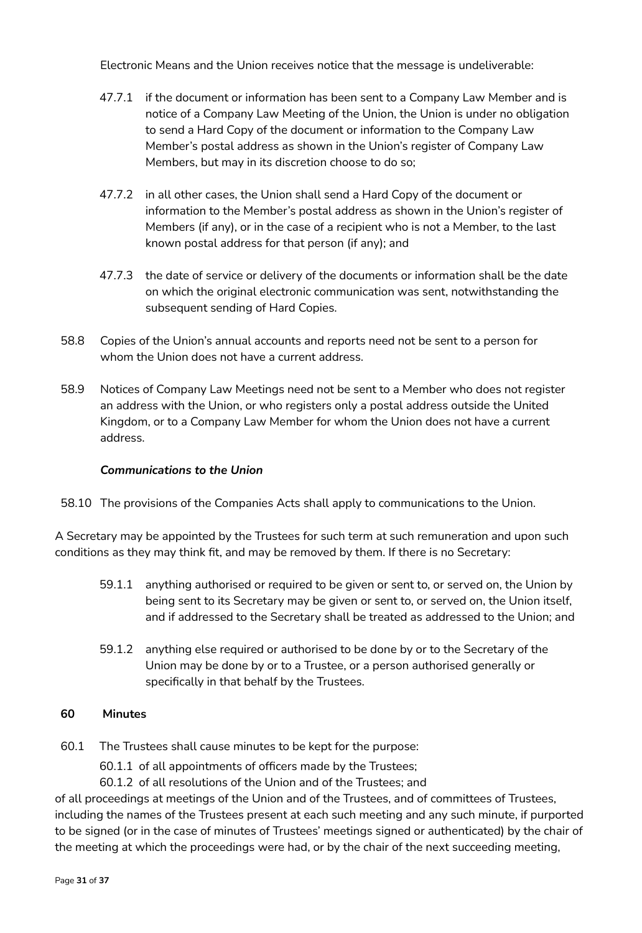Electronic Means and the Union receives notice that the message is undeliverable:

- 47.7.1 if the document or information has been sent to a Company Law Member and is notice of a Company Law Meeting of the Union, the Union is under no obligation to send a Hard Copy of the document or information to the Company Law Member's postal address as shown in the Union's register of Company Law Members, but may in its discretion choose to do so;
- 47.7.2 in all other cases, the Union shall send a Hard Copy of the document or information to the Member's postal address as shown in the Union's register of Members (if any), or in the case of a recipient who is not a Member, to the last known postal address for that person (if any); and
- 47.7.3 the date of service or delivery of the documents or information shall be the date on which the original electronic communication was sent, notwithstanding the subsequent sending of Hard Copies.
- 58.8 Copies of the Union's annual accounts and reports need not be sent to a person for whom the Union does not have a current address.
- 58.9 Notices of Company Law Meetings need not be sent to a Member who does not register an address with the Union, or who registers only a postal address outside the United Kingdom, or to a Company Law Member for whom the Union does not have a current address.

### *Communications to the Union*

58.10 The provisions of the Companies Acts shall apply to communications to the Union.

A Secretary may be appointed by the Trustees for such term at such remuneration and upon such conditions as they may think fit, and may be removed by them. If there is no Secretary:

- 59.1.1 anything authorised or required to be given or sent to, or served on, the Union by being sent to its Secretary may be given or sent to, or served on, the Union itself, and if addressed to the Secretary shall be treated as addressed to the Union; and
- 59.1.2 anything else required or authorised to be done by or to the Secretary of the Union may be done by or to a Trustee, or a person authorised generally or specifically in that behalf by the Trustees.

#### **60 Minutes**

- 60.1 The Trustees shall cause minutes to be kept for the purpose:
	- 60.1.1 of all appointments of officers made by the Trustees;
	- 60.1.2 of all resolutions of the Union and of the Trustees; and

of all proceedings at meetings of the Union and of the Trustees, and of committees of Trustees, including the names of the Trustees present at each such meeting and any such minute, if purported to be signed (or in the case of minutes of Trustees' meetings signed or authenticated) by the chair of the meeting at which the proceedings were had, or by the chair of the next succeeding meeting,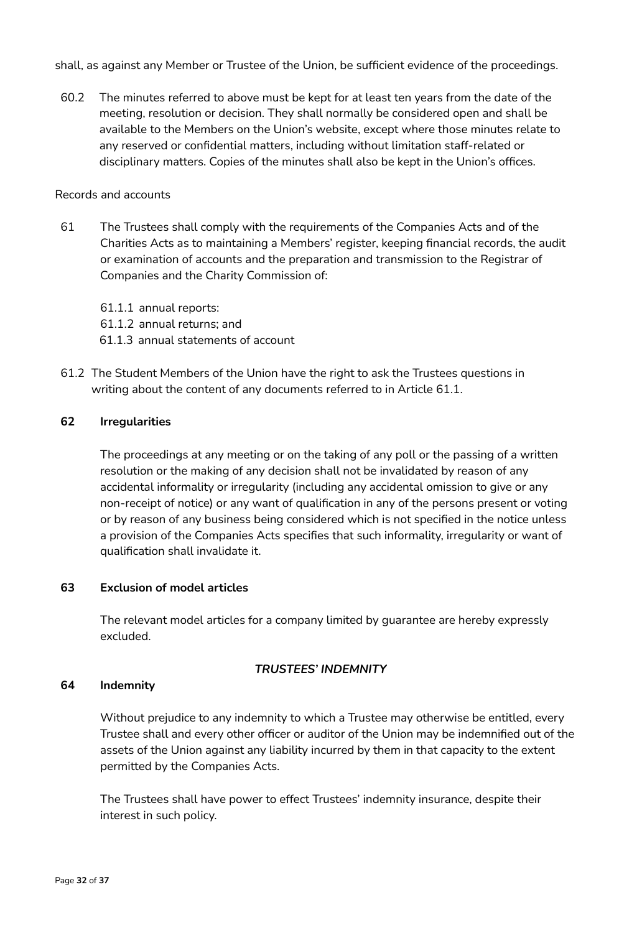shall, as against any Member or Trustee of the Union, be sufficient evidence of the proceedings.

60.2 The minutes referred to above must be kept for at least ten years from the date of the meeting, resolution or decision. They shall normally be considered open and shall be available to the Members on the Union's website, except where those minutes relate to any reserved or confidential matters, including without limitation staff-related or disciplinary matters. Copies of the minutes shall also be kept in the Union's offices.

#### Records and accounts

61 The Trustees shall comply with the requirements of the Companies Acts and of the Charities Acts as to maintaining a Members' register, keeping financial records, the audit or examination of accounts and the preparation and transmission to the Registrar of Companies and the Charity Commission of:

61.1.1 annual reports: 61.1.2 annual returns; and 61.1.3 annual statements of account

61.2 The Student Members of the Union have the right to ask the Trustees questions in writing about the content of any documents referred to in Article 61.1.

### **62 Irregularities**

The proceedings at any meeting or on the taking of any poll or the passing of a written resolution or the making of any decision shall not be invalidated by reason of any accidental informality or irregularity (including any accidental omission to give or any non-receipt of notice) or any want of qualification in any of the persons present or voting or by reason of any business being considered which is not specified in the notice unless a provision of the Companies Acts specifies that such informality, irregularity or want of qualification shall invalidate it.

#### **63 Exclusion of model articles**

The relevant model articles for a company limited by guarantee are hereby expressly excluded.

#### *TRUSTEES' INDEMNITY*

#### **64 Indemnity**

Without prejudice to any indemnity to which a Trustee may otherwise be entitled, every Trustee shall and every other officer or auditor of the Union may be indemnified out of the assets of the Union against any liability incurred by them in that capacity to the extent permitted by the Companies Acts.

The Trustees shall have power to effect Trustees' indemnity insurance, despite their interest in such policy.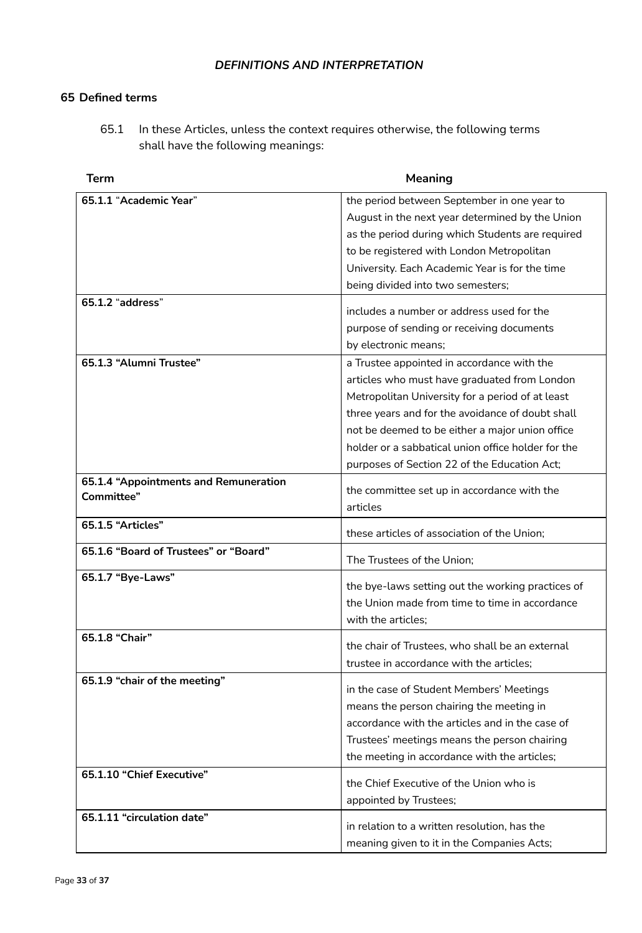## *DEFINITIONS AND INTERPRETATION*

## **65 Defined terms**

65.1 In these Articles, unless the context requires otherwise, the following terms shall have the following meanings:

| <b>Term</b>                           | <b>Meaning</b>                                          |
|---------------------------------------|---------------------------------------------------------|
| 65.1.1 "Academic Year"                | the period between September in one year to             |
|                                       | August in the next year determined by the Union         |
|                                       | as the period during which Students are required        |
|                                       | to be registered with London Metropolitan               |
|                                       | University. Each Academic Year is for the time          |
| 65.1.2 "address"                      | being divided into two semesters;                       |
|                                       | includes a number or address used for the               |
|                                       | purpose of sending or receiving documents               |
|                                       | by electronic means;                                    |
| 65.1.3 "Alumni Trustee"               | a Trustee appointed in accordance with the              |
|                                       | articles who must have graduated from London            |
|                                       | Metropolitan University for a period of at least        |
|                                       | three years and for the avoidance of doubt shall        |
|                                       | not be deemed to be either a major union office         |
|                                       | holder or a sabbatical union office holder for the      |
|                                       | purposes of Section 22 of the Education Act;            |
| 65.1.4 "Appointments and Remuneration |                                                         |
| Committee"                            | the committee set up in accordance with the<br>articles |
| 65.1.5 "Articles"                     |                                                         |
|                                       | these articles of association of the Union;             |
| 65.1.6 "Board of Trustees" or "Board" | The Trustees of the Union;                              |
| 65.1.7 "Bye-Laws"                     | the bye-laws setting out the working practices of       |
|                                       | the Union made from time to time in accordance          |
|                                       | with the articles;                                      |
| 65.1.8 "Chair"                        |                                                         |
|                                       | the chair of Trustees, who shall be an external         |
|                                       | trustee in accordance with the articles;                |
| 65.1.9 "chair of the meeting"         | in the case of Student Members' Meetings                |
|                                       | means the person chairing the meeting in                |
|                                       | accordance with the articles and in the case of         |
|                                       | Trustees' meetings means the person chairing            |
|                                       | the meeting in accordance with the articles;            |
| 65.1.10 "Chief Executive"             |                                                         |
|                                       | the Chief Executive of the Union who is                 |
|                                       | appointed by Trustees;                                  |
| 65.1.11 "circulation date"            | in relation to a written resolution, has the            |
|                                       | meaning given to it in the Companies Acts;              |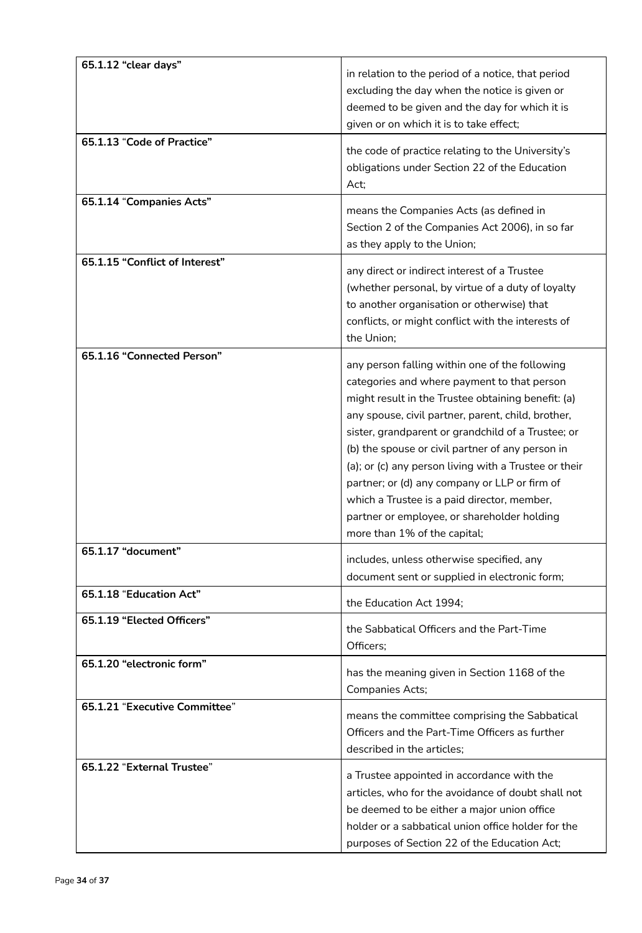| 65.1.12 "clear days"           | in relation to the period of a notice, that period<br>excluding the day when the notice is given or<br>deemed to be given and the day for which it is<br>given or on which it is to take effect;                                                                                                                                                                                                                                                                                                                                                            |
|--------------------------------|-------------------------------------------------------------------------------------------------------------------------------------------------------------------------------------------------------------------------------------------------------------------------------------------------------------------------------------------------------------------------------------------------------------------------------------------------------------------------------------------------------------------------------------------------------------|
| 65.1.13 "Code of Practice"     | the code of practice relating to the University's<br>obligations under Section 22 of the Education<br>Act;                                                                                                                                                                                                                                                                                                                                                                                                                                                  |
| 65.1.14 "Companies Acts"       | means the Companies Acts (as defined in<br>Section 2 of the Companies Act 2006), in so far<br>as they apply to the Union;                                                                                                                                                                                                                                                                                                                                                                                                                                   |
| 65.1.15 "Conflict of Interest" | any direct or indirect interest of a Trustee<br>(whether personal, by virtue of a duty of loyalty<br>to another organisation or otherwise) that<br>conflicts, or might conflict with the interests of<br>the Union;                                                                                                                                                                                                                                                                                                                                         |
| 65.1.16 "Connected Person"     | any person falling within one of the following<br>categories and where payment to that person<br>might result in the Trustee obtaining benefit: (a)<br>any spouse, civil partner, parent, child, brother,<br>sister, grandparent or grandchild of a Trustee; or<br>(b) the spouse or civil partner of any person in<br>(a); or (c) any person living with a Trustee or their<br>partner; or (d) any company or LLP or firm of<br>which a Trustee is a paid director, member,<br>partner or employee, or shareholder holding<br>more than 1% of the capital; |
| 65.1.17 "document"             | includes, unless otherwise specified, any<br>document sent or supplied in electronic form;                                                                                                                                                                                                                                                                                                                                                                                                                                                                  |
| 65.1.18 "Education Act"        | the Education Act 1994;                                                                                                                                                                                                                                                                                                                                                                                                                                                                                                                                     |
| 65.1.19 "Elected Officers"     | the Sabbatical Officers and the Part-Time<br>Officers;                                                                                                                                                                                                                                                                                                                                                                                                                                                                                                      |
| 65.1.20 "electronic form"      | has the meaning given in Section 1168 of the<br>Companies Acts;                                                                                                                                                                                                                                                                                                                                                                                                                                                                                             |
| 65.1.21 "Executive Committee"  | means the committee comprising the Sabbatical<br>Officers and the Part-Time Officers as further<br>described in the articles;                                                                                                                                                                                                                                                                                                                                                                                                                               |
| 65.1.22 "External Trustee"     | a Trustee appointed in accordance with the<br>articles, who for the avoidance of doubt shall not<br>be deemed to be either a major union office<br>holder or a sabbatical union office holder for the<br>purposes of Section 22 of the Education Act;                                                                                                                                                                                                                                                                                                       |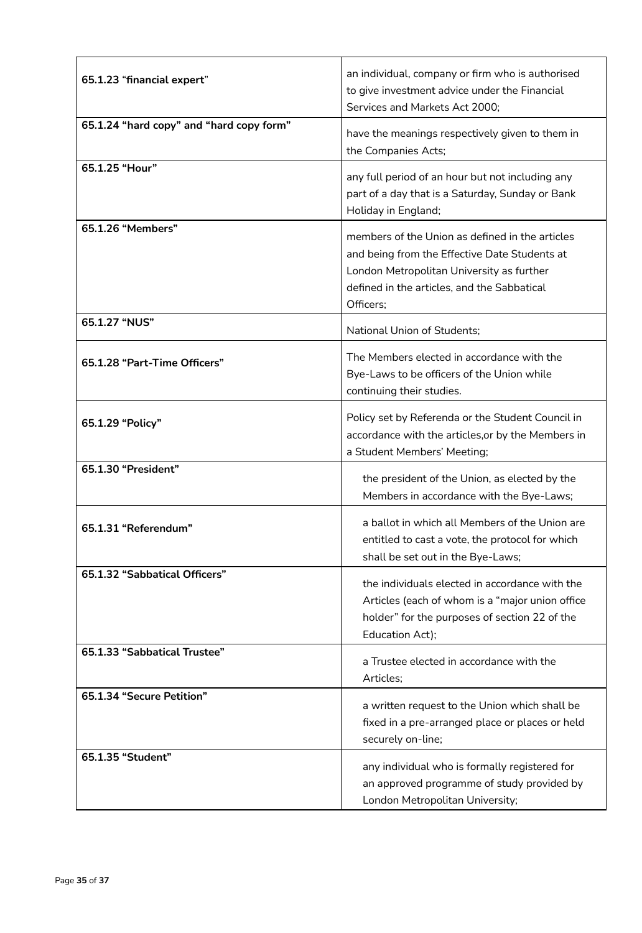| 65.1.23 "financial expert"               | an individual, company or firm who is authorised<br>to give investment advice under the Financial<br>Services and Markets Act 2000;                                                                       |
|------------------------------------------|-----------------------------------------------------------------------------------------------------------------------------------------------------------------------------------------------------------|
| 65.1.24 "hard copy" and "hard copy form" | have the meanings respectively given to them in<br>the Companies Acts;                                                                                                                                    |
| 65.1.25 "Hour"                           | any full period of an hour but not including any<br>part of a day that is a Saturday, Sunday or Bank<br>Holiday in England;                                                                               |
| 65.1.26 "Members"                        | members of the Union as defined in the articles<br>and being from the Effective Date Students at<br>London Metropolitan University as further<br>defined in the articles, and the Sabbatical<br>Officers; |
| 65.1.27 "NUS"                            | National Union of Students;                                                                                                                                                                               |
| 65.1.28 "Part-Time Officers"             | The Members elected in accordance with the<br>Bye-Laws to be officers of the Union while<br>continuing their studies.                                                                                     |
| 65.1.29 "Policy"                         | Policy set by Referenda or the Student Council in<br>accordance with the articles, or by the Members in<br>a Student Members' Meeting;                                                                    |
| 65.1.30 "President"                      | the president of the Union, as elected by the<br>Members in accordance with the Bye-Laws;                                                                                                                 |
| 65.1.31 "Referendum"                     | a ballot in which all Members of the Union are<br>entitled to cast a vote, the protocol for which<br>shall be set out in the Bye-Laws;                                                                    |
| 65.1.32 "Sabbatical Officers"            | the individuals elected in accordance with the<br>Articles (each of whom is a "major union office<br>holder" for the purposes of section 22 of the<br>Education Act);                                     |
| 65.1.33 "Sabbatical Trustee"             | a Trustee elected in accordance with the<br>Articles;                                                                                                                                                     |
| 65.1.34 "Secure Petition"                | a written request to the Union which shall be<br>fixed in a pre-arranged place or places or held<br>securely on-line;                                                                                     |
| 65.1.35 "Student"                        | any individual who is formally registered for<br>an approved programme of study provided by<br>London Metropolitan University;                                                                            |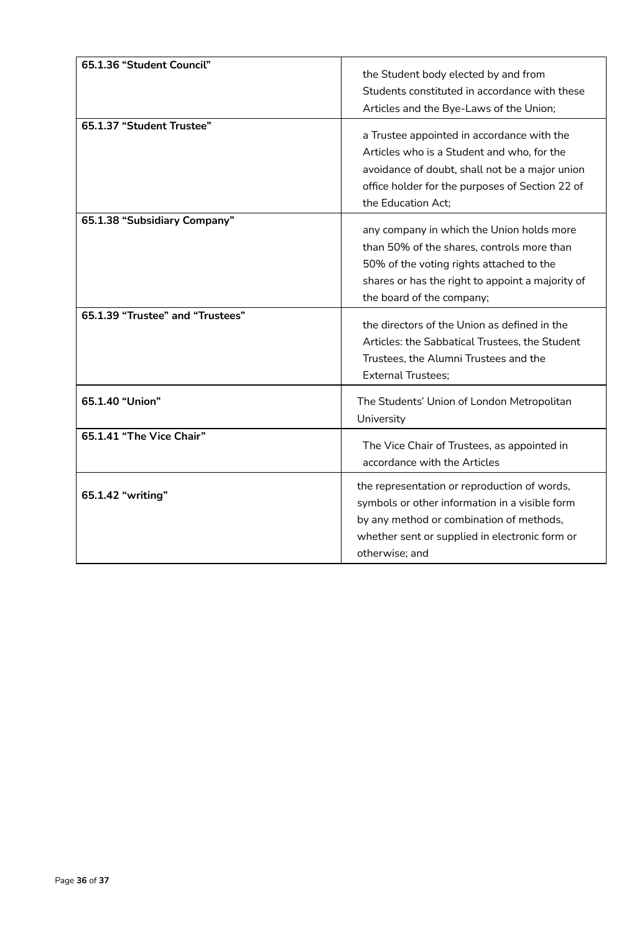| 65.1.36 "Student Council"<br>65.1.37 "Student Trustee" | the Student body elected by and from<br>Students constituted in accordance with these<br>Articles and the Bye-Laws of the Union;<br>a Trustee appointed in accordance with the<br>Articles who is a Student and who, for the<br>avoidance of doubt, shall not be a major union<br>office holder for the purposes of Section 22 of<br>the Education Act; |
|--------------------------------------------------------|---------------------------------------------------------------------------------------------------------------------------------------------------------------------------------------------------------------------------------------------------------------------------------------------------------------------------------------------------------|
| 65.1.38 "Subsidiary Company"                           | any company in which the Union holds more<br>than 50% of the shares, controls more than<br>50% of the voting rights attached to the<br>shares or has the right to appoint a majority of<br>the board of the company;                                                                                                                                    |
| 65.1.39 "Trustee" and "Trustees"                       | the directors of the Union as defined in the<br>Articles: the Sabbatical Trustees, the Student<br>Trustees, the Alumni Trustees and the<br><b>External Trustees:</b>                                                                                                                                                                                    |
| 65.1.40 "Union"                                        | The Students' Union of London Metropolitan<br>University                                                                                                                                                                                                                                                                                                |
| 65.1.41 "The Vice Chair"                               | The Vice Chair of Trustees, as appointed in<br>accordance with the Articles                                                                                                                                                                                                                                                                             |
| 65.1.42 "writing"                                      | the representation or reproduction of words,<br>symbols or other information in a visible form<br>by any method or combination of methods,<br>whether sent or supplied in electronic form or<br>otherwise; and                                                                                                                                          |